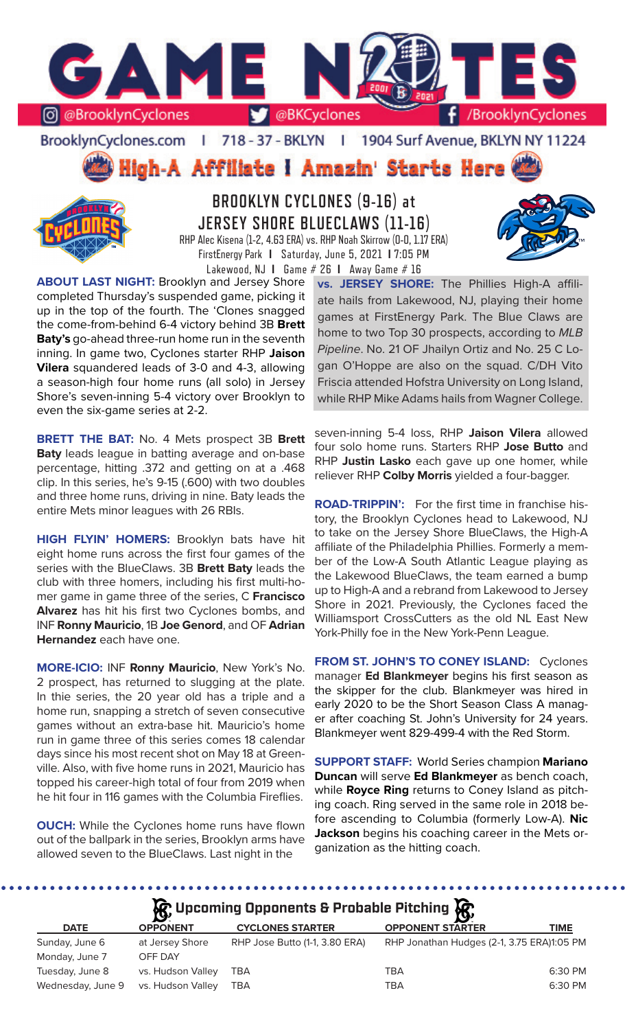

BrooklynCyclones.com | 718 - 37 - BKLYN | 1904 Surf Avenue, BKLYN NY 11224

High-A Affiliate I Amazin' Starts Here



**BROOKLYN CYCLONES (9-16) at JERSEY SHORE BLUECLAWS (11-16)** RHP Alec Kisena (1-2, 4.63 ERA) vs. RHP Noah Skirrow (0-0, 1.17 ERA) FirstEnergy Park **I** Saturday, June 5, 2021 **I** 7:05 PM



**ABOUT LAST NIGHT:** Brooklyn and Jersey Shore completed Thursday's suspended game, picking it up in the top of the fourth. The 'Clones snagged the come-from-behind 6-4 victory behind 3B **Brett Baty's** go-ahead three-run home run in the seventh inning. In game two, Cyclones starter RHP **Jaison Vilera** squandered leads of 3-0 and 4-3, allowing a season-high four home runs (all solo) in Jersey Shore's seven-inning 5-4 victory over Brooklyn to even the six-game series at 2-2.

**BRETT THE BAT:** No. 4 Mets prospect 3B **Brett Baty** leads league in batting average and on-base percentage, hitting .372 and getting on at a .468 clip. In this series, he's 9-15 (.600) with two doubles and three home runs, driving in nine. Baty leads the entire Mets minor leagues with 26 RBIs.

**HIGH FLYIN' HOMERS:** Brooklyn bats have hit eight home runs across the first four games of the series with the BlueClaws. 3B **Brett Baty** leads the club with three homers, including his first multi-homer game in game three of the series, C **Francisco Alvarez** has hit his first two Cyclones bombs, and INF **Ronny Mauricio**, 1B **Joe Genord**, and OF **Adrian Hernandez** each have one.

**MORE-ICIO:** INF **Ronny Mauricio**, New York's No. 2 prospect, has returned to slugging at the plate. In thie series, the 20 year old has a triple and a home run, snapping a stretch of seven consecutive games without an extra-base hit. Mauricio's home run in game three of this series comes 18 calendar days since his most recent shot on May 18 at Greenville. Also, with five home runs in 2021, Mauricio has topped his career-high total of four from 2019 when he hit four in 116 games with the Columbia Fireflies.

**OUCH:** While the Cyclones home runs have flown out of the ballpark in the series, Brooklyn arms have allowed seven to the BlueClaws. Last night in the

**vs. JERSEY SHORE:** The Phillies High-A affiliate hails from Lakewood, NJ, playing their home games at FirstEnergy Park. The Blue Claws are home to two Top 30 prospects, according to *MLB Pipeline*. No. 21 OF Jhailyn Ortiz and No. 25 C Logan O'Hoppe are also on the squad. C/DH Vito Friscia attended Hofstra University on Long Island, while RHP Mike Adams hails from Wagner College.

seven-inning 5-4 loss, RHP **Jaison Vilera** allowed four solo home runs. Starters RHP **Jose Butto** and RHP **Justin Lasko** each gave up one homer, while reliever RHP **Colby Morris** yielded a four-bagger.

**ROAD-TRIPPIN':** For the first time in franchise history, the Brooklyn Cyclones head to Lakewood, NJ to take on the Jersey Shore BlueClaws, the High-A affiliate of the Philadelphia Phillies. Formerly a member of the Low-A South Atlantic League playing as the Lakewood BlueClaws, the team earned a bump up to High-A and a rebrand from Lakewood to Jersey Shore in 2021. Previously, the Cyclones faced the Williamsport CrossCutters as the old NL East New York-Philly foe in the New York-Penn League.

**FROM ST. JOHN'S TO CONEY ISLAND:** Cyclones manager **Ed Blankmeyer** begins his first season as the skipper for the club. Blankmeyer was hired in early 2020 to be the Short Season Class A manager after coaching St. John's University for 24 years. Blankmeyer went 829-499-4 with the Red Storm.

**SUPPORT STAFF:** World Series champion **Mariano Duncan** will serve **Ed Blankmeyer** as bench coach, while **Royce Ring** returns to Coney Island as pitching coach. Ring served in the same role in 2018 before ascending to Columbia (formerly Low-A). **Nic Jackson** begins his coaching career in the Mets organization as the hitting coach.

# **A**: Upcoming Opponents & Probable Pitching  $\mathbb{R}$

|                   | $\mathbf{v}$      |                                | <b>P</b>                                   |             |
|-------------------|-------------------|--------------------------------|--------------------------------------------|-------------|
| <b>DATE</b>       | <b>OPPONENT</b>   | <b>CYCLONES STARTER</b>        | <b>OPPONENT STARTER</b>                    | <b>TIME</b> |
| Sunday, June 6    | at Jersey Shore   | RHP Jose Butto (1-1, 3.80 ERA) | RHP Jonathan Hudges (2-1, 3.75 ERA)1:05 PM |             |
| Monday, June 7    | OFF DAY           |                                |                                            |             |
| Tuesday, June 8   | vs. Hudson Valley | TBA                            | TBA                                        | 6:30 PM     |
| Wednesday, June 9 | vs. Hudson Valley | TBA                            | TBA                                        | 6:30 PM     |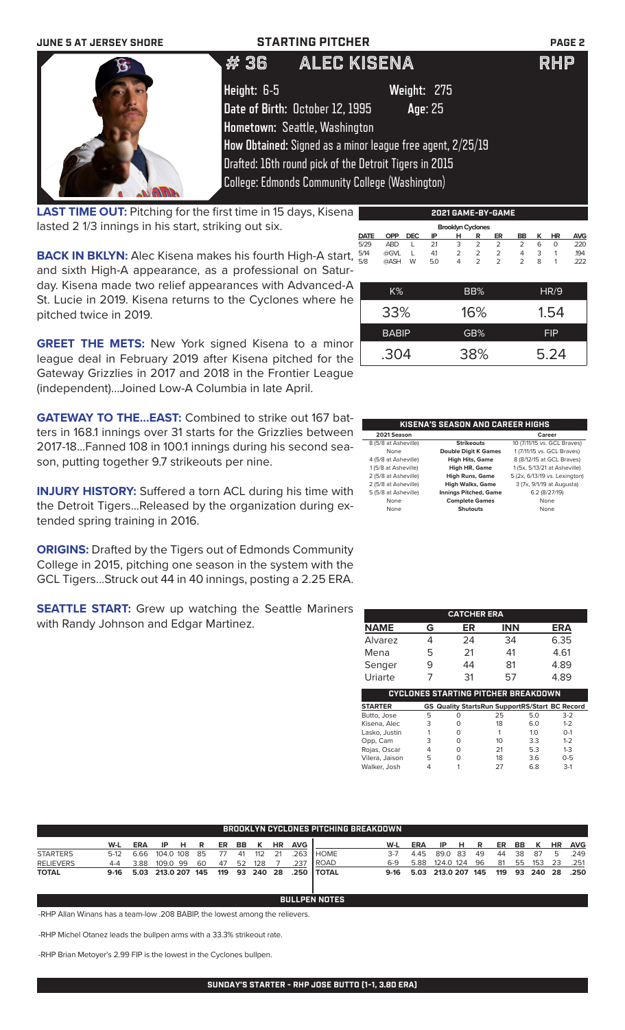| <b>JUNE 5 AT JERSEY SHORE</b> | <b>STARTING PITCHER</b>                                    | PAGE <sub>2</sub> |
|-------------------------------|------------------------------------------------------------|-------------------|
|                               | ALEC KISENA<br>#36                                         | <b>RHP</b>        |
|                               | Height: 6-5<br>Weight: 275                                 |                   |
|                               | Date of Birth: October 12, 1995<br>Age: 25                 |                   |
|                               | Hometown: Seattle, Washington                              |                   |
|                               | How Obtained: Signed as a minor league free agent, 2/25/19 |                   |
|                               | Drafted: 16th round pick of the Detroit Tigers in 2015     |                   |
|                               | <b>College: Edmonds Community College (Washington)</b>     |                   |

**LAST TIME OUT:** Pitching for the first time in 15 days, Kisena lasted 2 1/3 innings in his start, striking out six.

**BACK IN BKLYN:** Alec Kisena makes his fourth High-A start, and sixth High-A appearance, as a professional on Saturday. Kisena made two relief appearances with Advanced-A St. Lucie in 2019. Kisena returns to the Cyclones where he pitched twice in 2019.

|             |              |            |     | <b>Brooklyn Cyclones</b> |                |                |                |   |            |            |
|-------------|--------------|------------|-----|--------------------------|----------------|----------------|----------------|---|------------|------------|
| <b>DATE</b> | <b>OPP</b>   | <b>DEC</b> | ΙP  | н                        | R              | ER             | BB             | ĸ | <b>HR</b>  | <b>AVG</b> |
| 5/29        | <b>ABD</b>   | L          | 2.1 | 3                        | $\overline{2}$ | $\overline{2}$ | 2              | 6 | $\Omega$   | .220       |
| 5/14        | @GVL         | L          | 4.1 | $\overline{2}$           | $\overline{2}$ | $\overline{2}$ | $\overline{4}$ | 3 | 1          | .194       |
| 5/8         | @ASH         | W          | 5.0 | 4                        | $\overline{2}$ | $\overline{2}$ | $\overline{2}$ | 8 | 1          | 222        |
|             |              |            |     |                          |                |                |                |   |            |            |
|             |              |            |     |                          |                |                |                |   |            |            |
|             | $K\%$        |            |     |                          | BB%            |                |                |   | HR/9       |            |
|             |              |            |     |                          |                |                |                |   |            |            |
|             | 33%          |            |     |                          | 16%            |                |                |   | 1.54       |            |
|             |              |            |     |                          |                |                |                |   |            |            |
|             | <b>BABIP</b> |            |     |                          | GB%            |                |                |   | <b>FIP</b> |            |
|             |              |            |     |                          |                |                |                |   |            |            |
|             |              |            |     |                          |                |                |                |   |            |            |
|             | .304         |            |     |                          | 38%            |                |                |   | 5.24       |            |
|             |              |            |     |                          |                |                |                |   |            |            |

**2021 GAME-BY-GAME**

**GREET THE METS:** New York signed Kisena to a minor league deal in February 2019 after Kisena pitched for the Gateway Grizzlies in 2017 and 2018 in the Frontier League (independent)...Joined Low-A Columbia in late April.

**GATEWAY TO THE...EAST:** Combined to strike out 167 batters in 168.1 innings over 31 starts for the Grizzlies between 2017-18...Fanned 108 in 100.1 innings during his second season, putting together 9.7 strikeouts per nine.

**INJURY HISTORY:** Suffered a torn ACL during his time with the Detroit Tigers...Released by the organization during extended spring training in 2016.

**ORIGINS:** Drafted by the Tigers out of Edmonds Community College in 2015, pitching one season in the system with the GCL Tigers...Struck out 44 in 40 innings, posting a 2.25 ERA.

**SEATTLE START:** Grew up watching the Seattle Mariners with Randy Johnson and Edgar Martinez.

| KISENA'S SEASON AND CAREER HIGHS |                              |                               |  |  |  |  |
|----------------------------------|------------------------------|-------------------------------|--|--|--|--|
| 2021 Season                      |                              | Career                        |  |  |  |  |
| 8 (5/8 at Asheville)             | <b>Strikeouts</b>            | 10 (7/11/15 vs. GCL Braves)   |  |  |  |  |
| None                             | <b>Double Digit K Games</b>  | 1 (7/11/15 vs. GCL Braves)    |  |  |  |  |
| 4 (5/8 at Asheville)             | <b>High Hits, Game</b>       | 8 (8/12/15 at GCL Braves)     |  |  |  |  |
| 1 (5/8 at Asheville)             | High HR, Game                | 1 (5x, 5/13/21 at Asheville)  |  |  |  |  |
| 2 (5/8 at Asheville)             | <b>High Runs, Game</b>       | 5 (2x, 6/13/19 vs. Lexington) |  |  |  |  |
| 2 (5/8 at Asheville)             | <b>High Walks, Game</b>      | 3 (7x, 9/1/19 at Augusta)     |  |  |  |  |
| 5 (5/8 at Asheville)             | <b>Innings Pitched, Game</b> | 6.2 (8/27/19)                 |  |  |  |  |
| None                             | <b>Complete Games</b>        | None                          |  |  |  |  |
| None                             | <b>Shutouts</b>              | None                          |  |  |  |  |

|                |   | <b>CATCHER ERA</b>                                    |            |     |            |  |
|----------------|---|-------------------------------------------------------|------------|-----|------------|--|
| <b>NAME</b>    | G | ER                                                    | <b>INN</b> |     | <b>ERA</b> |  |
| <b>Alvarez</b> | 4 | 24                                                    | 34         |     | 6.35       |  |
| Mena           | 5 | 21                                                    | 41         |     | 4.61       |  |
| Senger         | 9 | 44                                                    | 81         |     | 4.89       |  |
| Uriarte        |   | 31                                                    | 57         |     | 4.89       |  |
|                |   | CYCLONES STARTING PITCHER BREAKDOWN                   |            |     |            |  |
| <b>STARTER</b> |   | <b>GS Quality StartsRun SupportRS/Start BC Record</b> |            |     |            |  |
| Butto, Jose    | 5 | O                                                     | 25         | 5.0 | $3-2$      |  |
|                |   |                                                       |            |     |            |  |
| Kisena, Alec   | 3 | O                                                     | 18         | 6.0 | $1 - 2$    |  |
| Lasko, Justin  |   | Ο                                                     | 1          | 1.0 | $O - 1$    |  |
| Opp, Cam       | 3 | 0                                                     | 10         | 3.3 | $1 - 2$    |  |
| Rojas, Oscar   | 4 | O                                                     | 21         | 5.3 | $1 - 3$    |  |
| Vilera, Jaison | 5 | 0                                                     | 18         | 3.6 | $0 - 5$    |  |

| BROOKLYN CYCLONES PITCHING BREAKDOWN |         |            |                                       |    |    |       |    |     |           |            |                |        |            |               |    |      |    |               |           |            |
|--------------------------------------|---------|------------|---------------------------------------|----|----|-------|----|-----|-----------|------------|----------------|--------|------------|---------------|----|------|----|---------------|-----------|------------|
|                                      | W-L     | <b>ERA</b> | IP.                                   | -н | R  | ER BB |    | K   | <b>HR</b> | <b>AVG</b> |                | W-L    | <b>ERA</b> | IP.           | -н | R    |    | ER BB K       | <b>HR</b> | <b>AVG</b> |
| <b>STARTERS</b>                      | $5-12$  | 6.66       | 104.0 108                             |    | 85 | - 77  | 41 | 112 | 21        | .263       | I HOME.        | $3-7$  | 445        | 89.083        |    | - 49 |    | 44 38 87      | - 5       | .249       |
| <b>RELIEVERS</b>                     | $4 - 4$ | 3.88       | 109.0 99                              |    | 60 | -47   | 52 | 128 |           | .237       | <b>I</b> ROAD  | $6-9$  | 5.88       | 124.0 124 96  |    |      | 81 | 55 153        | -23       | .251       |
| <b>TOTAL</b>                         |         |            | 9-16 5.03 213.0 207 145 119 93 240 28 |    |    |       |    |     |           | .250       | <b>I TOTAL</b> | $9-16$ | 5.03       | 213.0 207 145 |    |      |    | 119 93 240 28 |           | .250       |

**BULLPEN NOTES**

-RHP Allan Winans has a team-low .208 BABIP, the lowest among the relievers.

-RHP Michel Otanez leads the bullpen arms with a 33.3% strikeout rate.

-RHP Brian Metoyer's 2.99 FIP is the lowest in the Cyclones bullpen.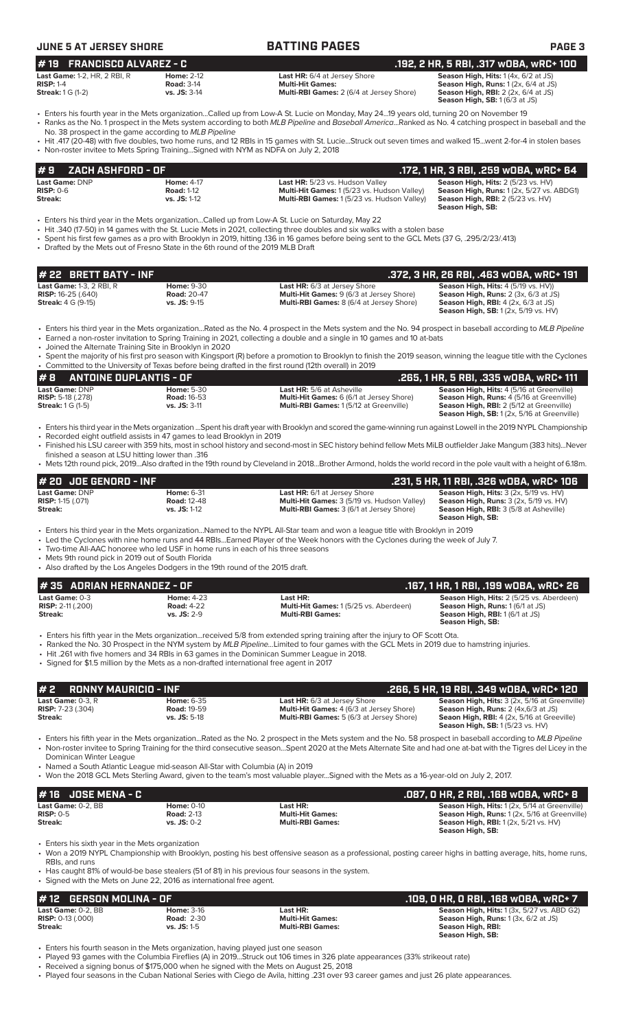# **JUNE 5 AT JERSEY SHORE BATTING PAGES PAGE 3**

# **# 19 FRANCISCO ALVAREZ - C .192, 2 HR, 5 RBI, .317 wOBA, wRC+ 100**

| <b>Last Game:</b> 1-2, HR, 2 RBI, R | <b>Home: 2-12</b>   | <b>Last HR:</b> 6/4 at Jersey Shore             | <b>Season High, Hits:</b> $1(4x, 6/2$ at JS)       |
|-------------------------------------|---------------------|-------------------------------------------------|----------------------------------------------------|
| <b>RISP:</b> 1-4                    | <b>Road: 3-14</b>   | <b>Multi-Hit Games:</b>                         | <b>Season High, Runs:</b> 1 (2x, 6/4 at JS)        |
| <b>Streak:</b> 1 G (1-2)            | <b>vs. JS:</b> 3-14 | <b>Multi-RBI Games: 2 (6/4 at Jersey Shore)</b> | <b>Season High, RBI:</b> $2$ ( $2x$ , $6/4$ at JS) |
|                                     |                     |                                                 | $\cdots$ $\cdots$ $\cdots$                         |

**Multi-RBI Games:** 1 (5/23 vs. Hudson Valley)

**Season High, SB:** 1 (6/3 at JS)

**Season High, SB:** 

- Enters his fourth year in the Mets organization...Called up from Low-A St. Lucie on Monday, May 24...19 years old, turning 20 on November 19 • Ranks as the No. 1 prospect in the Mets system according to both *MLB Pipeline* and *Baseball America*...Ranked as No. 4 catching prospect in baseball and the
- No. 38 prospect in the game according to *MLB Pipeline* • Hit .417 (20-48) with five doubles, two home runs, and 12 RBIs in 15 games with St. Lucie...Struck out seven times and walked 15...went 2-for-4 in stolen bases • Non-roster invitee to Mets Spring Training...Signed with NYM as NDFA on July 2, 2018
- **Last Game: DNP Home: 4-17 Last HR:** 5/23 vs. Hudson Valley **Season High, Hits:** 2 (5/23 vs. HV)<br> **RISP:** 0-6 **Road:** 1-12 **Road:** 1-12 **Multi-Hit Games:** 1 (5/23 vs. Hudson Valley) **Season High, Runs:** 1 (2x, 5/27 vs. **RISP:** 0-6 **Road:** 1-12 **Multi-Hit Games:** 1 (5/23 vs. Hudson Valley) **Season High, Runs:** 1 (2x, 5/27 vs. ABDG1) **# 9 ZACH ASHFORD - OF .172, 1 HR, 3 RBI, .259 wOBA, wRC+ 64**
- Enters his third year in the Mets organization...Called up from Low-A St. Lucie on Saturday, May 22
- Hit .340 (17-50) in 14 games with the St. Lucie Mets in 2021, collecting three doubles and six walks with a stolen base
- Spent his first few games as a pro with Brooklyn in 2019, hitting .136 in 16 games before being sent to the GCL Mets (37 G, .295/2/23/.413)
- Drafted by the Mets out of Fresno State in the 6th round of the 2019 MLB Draft

| # 22 BRETT BATY - INF           |                    |                                                 | .372, 3 HR, 26 RBI, .463 WOBA, WRC+ 191        |
|---------------------------------|--------------------|-------------------------------------------------|------------------------------------------------|
| <b>Last Game: 1-3, 2 RBI, R</b> | <b>Home: 9-30</b>  | <b>Last HR:</b> 6/3 at Jersey Shore             | <b>Season High, Hits: 4 (5/19 vs. HV))</b>     |
| <b>RISP:</b> $16-25$ $(.640)$   | <b>Road: 20-47</b> | <b>Multi-Hit Games: 9 (6/3 at Jersey Shore)</b> | <b>Season High, Runs: 2 (3x, 6/3 at JS)</b>    |
| <b>Streak:</b> $4 G (9-15)$     | $vs.$ JS: $9-15$   | <b>Multi-RBI Games:</b> 8 (6/4 at Jersey Shore) | <b>Season High, RBI:</b> $4$ (2x, $6/3$ at JS) |
|                                 |                    |                                                 | <b>Season High, SB:</b> 1 (2x, 5/19 vs. HV)    |

- Enters his third year in the Mets organization...Rated as the No. 4 prospect in the Mets system and the No. 94 prospect in baseball according to *MLB Pipeline*
- Earned a non-roster invitation to Spring Training in 2021, collecting a double and a single in 10 games and 10 at-bats
- Joined the Alternate Training Site in Brooklyn in 2020 • Spent the majority of his first pro season with Kingsport (R) before a promotion to Brooklyn to finish the 2019 season, winning the league title with the Cyclones • Committed to the University of Texas before being drafted in the first round (12th overall) in 2019

| $\#$ 8 ANTOINE DUPLANTIS - OF |                    |                                                 | . 265, 1 HR, 5 RBI, .335 wOBA, wRC+ 111'           |
|-------------------------------|--------------------|-------------------------------------------------|----------------------------------------------------|
| Last Game: DNP                | <b>Home: 5-30</b>  | <b>Last HR:</b> 5/6 at Asheville                | <b>Season High, Hits: 4 (5/16 at Greenville)</b>   |
| <b>RISP:</b> 5-18 $(.278)$    | <b>Road: 16-53</b> | <b>Multi-Hit Games:</b> 6 (6/1 at Jersey Shore) | <b>Season High, Runs: 4 (5/16 at Greenville)</b>   |
| <b>Streak:</b> 1 G (1-5)      | $vs.$ JS: $3-11$   | <b>Multi-RBI Games: 1(5/12 at Greenville)</b>   | <b>Season High, RBI:</b> 2 (5/12 at Greenville)    |
|                               |                    |                                                 | <b>Season High, SB:</b> 1 (2x, 5/16 at Greenville) |

- Enters his third year in the Mets organization ...Spent his draft year with Brooklyn and scored the game-winning run against Lowell in the 2019 NYPL Championship • Recorded eight outfield assists in 47 games to lead Brooklyn in 2019
- Finished his LSU career with 359 hits, most in school history and second-most in SEC history behind fellow Mets MiLB outfielder Jake Mangum (383 hits)...Never
- finished a season at LSU hitting lower than .316 • Mets 12th round pick, 2019...Also drafted in the 19th round by Cleveland in 2018...Brother Armond, holds the world record in the pole vault with a height of 6.18m.

| $#$ 20 JDE GENORD - INF    |                    |                                                    | .231, 5 HR, 11 RBI, .326 wOBA, wRC+ 106                  |
|----------------------------|--------------------|----------------------------------------------------|----------------------------------------------------------|
| Last Game: DNP             | <b>Home: 6-31</b>  | <b>Last HR:</b> 6/1 at Jersey Shore                | <b>Season High, Hits: 3 (2x, 5/19 vs. HV)</b>            |
| <b>RISP:</b> 1-15 $(.071)$ | <b>Road: 12-48</b> | <b>Multi-Hit Games:</b> 3 (5/19 vs. Hudson Valley) | <b>Season High, Runs:</b> $3$ ( $2x$ , $5/19$ vs. $HV$ ) |
| Streak:                    | $vs.$ JS: 1-12     | <b>Multi-RBI Games:</b> 3 (6/1 at Jersey Shore)    | <b>Season High, RBI:</b> 3 (5/8 at Asheville)            |
|                            |                    |                                                    | Season High, SB:                                         |

- Enters his third year in the Mets organization...Named to the NYPL All-Star team and won a league title with Brooklyn in 2019
- Led the Cyclones with nine home runs and 44 RBIs...Earned Player of the Week honors with the Cyclones during the week of July 7.
- Two-time All-AAC honoree who led USF in home runs in each of his three seasons
- Mets 9th round pick in 2019 out of South Florida
- Also drafted by the Los Angeles Dodgers in the 19th round of the 2015 draft.

| l # 35   ADRIAN HERNANDEZ - OF                          |                                                           |                                                                                                                                                                                                                                                                           | .167. 1 HR. 1 RBI. .199 wOBA. wRC+ 26                                                                                                                    |
|---------------------------------------------------------|-----------------------------------------------------------|---------------------------------------------------------------------------------------------------------------------------------------------------------------------------------------------------------------------------------------------------------------------------|----------------------------------------------------------------------------------------------------------------------------------------------------------|
| Last Game: 0-3<br><b>RISP:</b> $2-11$ (.200)<br>Streak: | <b>Home: 4-23</b><br><b>Road: 4-22</b><br>$vs.$ JS: $2-9$ | Last HR:<br>Multi-Hit Games: 1(5/25 vs. Aberdeen)<br><b>Multi-RBI Games:</b>                                                                                                                                                                                              | <b>Season High, Hits: 2 (5/25 vs. Aberdeen)</b><br><b>Season High, Runs: 1 (6/1 at JS)</b><br><b>Season High, RBI: 1 (6/1 at JS)</b><br>Season High, SB: |
|                                                         |                                                           | . Enters his fifth year in the Mets organizationreceived 5/8 from extended spring training after the injury to OF Scott Ota.<br>. Ranked the No. 30 Prospect in the NYM system by MLR Pineline, Limited to four games with the GCL Mets in 2019 due to hamstring injuries |                                                                                                                                                          |

- Ranked the No. 30 Prospect in the NYM system by *MLB Pipeline...*Limited to four games with the GCL Mets in 2019 due to hamstring injuries.
- Hit .261 with five homers and 34 RBIs in 63 games in the Dominican Summer League in 2018.
- Signed for \$1.5 million by the Mets as a non-drafted international free agent in 2017

| $# 2$ RONNY MAURICIO - INF                                   |                                                                |                                                                                                                                                              | .266. 5 HR. 19 RBI. .349 wOBA. wRC+ 120                                                                                                                                                    |
|--------------------------------------------------------------|----------------------------------------------------------------|--------------------------------------------------------------------------------------------------------------------------------------------------------------|--------------------------------------------------------------------------------------------------------------------------------------------------------------------------------------------|
| Last Game: $0-3. R$<br><b>RISP:</b> $7-23$ (.304)<br>Streak: | <b>Home: 6-35</b><br><b>Road: 19-59</b><br><b>vs. JS: 5-18</b> | <b>Last HR:</b> 6/3 at Jersey Shore<br><b>Multi-Hit Games: 4 (6/3 at Jersey Shore)</b><br>Multi-RBI Games: 5 (6/3 at Jersey Shore)                           | Season High, Hits: 3 (2x, 5/16 at Greenville)<br><b>Season High, Runs: 2 (4x,6/3 at JS)</b><br><b>Seaon High, RBI:</b> 4 (2x, 5/16 at Greeville)<br><b>Season High, SB: 1(5/23 vs. HV)</b> |
|                                                              |                                                                | • Enters his fifth year in the Mets organizationRated as the No. 2 prospect in the Mets system and the No. 58 prospect in baseball according to MLB Pipeline |                                                                                                                                                                                            |

- Non-roster invitee to Spring Training for the third consecutive season...Spent 2020 at the Mets Alternate Site and had one at-bat with the Tigres del Licey in the Dominican Winter League
- Named a South Atlantic League mid-season All-Star with Columbia (A) in 2019
- Won the 2018 GCL Mets Sterling Award, given to the team's most valuable player...Signed with the Mets as a 16-year-old on July 2, 2017.

| $#16$ JOSE MENA - C |                   |                         | .087, 0 HR, 2 RBI, .168 w0BA, wRC+ 8                 |
|---------------------|-------------------|-------------------------|------------------------------------------------------|
| Last Game: 0-2. BB  | <b>Home: 0-10</b> | Last HR:                | <b>Season High, Hits:</b> 1 (2x, 5/14 at Greenville) |
| $RISP: 0-5$         | <b>Road: 2-13</b> | <b>Multi-Hit Games:</b> | Season High, Runs: 1 (2x, 5/16 at Greenville)        |
| Streak:             | $vs.$ JS: 0-2     | <b>Multi-RBI Games:</b> | <b>Season High, RBI:</b> 1 (2x, 5/21 vs. HV)         |
|                     |                   |                         | Season High, SB:                                     |

• Enters his sixth year in the Mets organization

- Won a 2019 NYPL Championship with Brooklyn, posting his best offensive season as a professional, posting career highs in batting average, hits, home runs, RBIs, and runs
- Has caught 81% of would-be base stealers (51 of 81) in his previous four seasons in the system.
- Signed with the Mets on June 22, 2016 as international free agent.

| # 12    GERSON MOLINA - OF   |                   |                         | .109, 0 HR, 0 RBI, .168 w0BA, wRC+ 7                        |
|------------------------------|-------------------|-------------------------|-------------------------------------------------------------|
| Last Game: 0-2. BB           | <b>Home: 3-16</b> | Last HR:                | <b>Season High, Hits:</b> $1(3x, 5/27 \text{ vs. } ABD G2)$ |
| <b>RISP:</b> $0-13$ $(.000)$ | <b>Road: 2-30</b> | <b>Multi-Hit Games:</b> | <b>Season High, Runs:</b> $1(3x, 6/2$ at JS)                |
| Streak:                      | $vs.$ JS: 1-5     | <b>Multi-RBI Games:</b> | Season High, RBI:                                           |
|                              |                   |                         | Season High, SB:                                            |

• Enters his fourth season in the Mets organization, having played just one season

• Played 93 games with the Columbia Fireflies (A) in 2019...Struck out 106 times in 326 plate appearances (33% strikeout rate)

- Received a signing bonus of \$175,000 when he signed with the Mets on August 25, 2018
- Played four seasons in the Cuban National Series with Ciego de Avila, hitting .231 over 93 career games and just 26 plate appearances.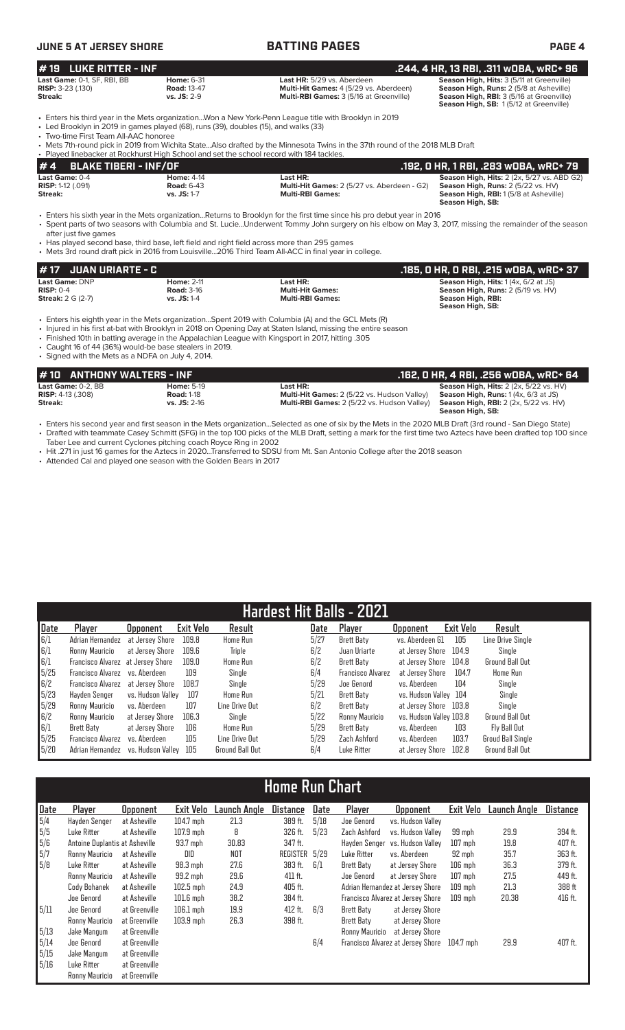### **JUNE 5 AT JERSEY SHORE BATTING PAGES PAGE 4 # 4 BLAKE TIBERI - INF/OF .192, 0 HR, 1 RBI, .283 wOBA, wRC+ 79** Last Game: 0-4 **Home: 4-14 Last HR: 11-14 Last HR: 11-14 Season High, Hits:** 2 (2x, 5/27 vs. ABD G2<br>11-12 (1991) **Road:** 6-43 **Multi-Hit Games:** 2 (5/27 vs. Aberdeen - G2) **Season High, Runs:** 2 (5/22 vs. HV)<br>11-17 **RISP:** 1-12 (.091) **Road: 6-43 Road: 6-43 Multi-Hit Games: 2** (5/27 vs. Aberdeen - G2) **Streak: CFI CONTEX UP: 2 (5/27 vs. Aberdeen - G2) Streak: CFI CONTEX UP: 2 CFI CONTEX CONTEX CONTEX CONTEX CONTEX CONTEX Season High, RBI:** 1 (5/8 at Asheville) **Season High, SB:**  • Enters his sixth year in the Mets organization...Returns to Brooklyn for the first time since his pro debut year in 2016 • Spent parts of two seasons with Columbia and St. Lucie...Underwent Tommy John surgery on his elbow on May 3, 2017, missing the remainder of the season after just five games • Has played second base, third base, left field and right field across more than 295 games • Mets 3rd round draft pick in 2016 from Louisville...2016 Third Team All-ACC in final year in college. **# 19 LUKE RITTER - INF .244, 4 HR, 13 RBI, .311 wOBA, wRC+ 96 Last Game:** 0-1, SF, RBI, BB **Home:** 6-31 **Last HR:** 5/29 vs. Aberdeen **Season High, Hits:** 3 (5/11 at Greenville) **RISP:** 3-23 (.130) **Road:** 13-47 **Multi-Hit Games:** 4 (5/29 vs. Aberdeen) **Season High, Runs:** 2 (5/8 at Asheville) Streak: 20 (1,000, 1,000, 1,000, 1,000, 1,000, 1,000, 1,000, 1,000, 1,000, 1,000, 1,000, 1,000, 1,000, 1,000, 1,000, 1,000, 1,000, 1,000, 1,000, 1,000, 1,000, 1,000, 1,000, 1,000, 1,000, 1,000, 1,000, 1,000, 1,000, 1,000, **Season High, SB:** 1 (5/12 at Greenville) • Enters his third year in the Mets organization...Won a New York-Penn League title with Brooklyn in 2019<br>• Led Brooklyn in 2019 in games played (68) runs (39) doubles (15) and walks (33) Led Brooklyn in 2019 in games played (68), runs (39), doubles (15), and walks (33) • Two-time First Team All-AAC honoree Mets 7th-round pick in 2019 from Wichita State...Also drafted by the Minnesota Twins in the 37th round of the 2018 MLB Draft<br>Played linebacker at Rockhurst High School and set the school record with 184 tackles. ebacker at Rockhurst High School and set the school record with 184 tackles

• Enters his eighth year in the Mets organization...Spent 2019 with Columbia (A) and the GCL Mets (R)

• Injured in his first at-bat with Brooklyn in 2018 on Opening Day at Staten Island, missing the entire season

- Finished 10th in batting average in the Appalachian League with Kingsport in 2017, hitting .305
- Caught 16 of 44 (36%) would-be base stealers in 2019.
- Signed with the Mets as a NDFA on July 4, 2014.

| .162. O HR. 4 RBI. .256 wOBA. wRC+ 64<br>#10 ANTHONY WALTERS - INF<br><b>Season High, Hits: 2 (2x, 5/22 vs. HV)</b><br><b>Last Game:</b> 0-2. BB<br><b>Home: 5-19</b><br>Last HR:<br><b>Season High, Runs:</b> 1 (4x, 6/3 at JS)<br><b>Multi-Hit Games:</b> 2 (5/22 vs. Hudson Valley)<br><b>RISP:</b> 4-13 (.308)<br><b>Road: 1-18</b><br>Streak:<br><b>Season High, RBI:</b> $2$ (2x, $5/22$ vs. HV)<br><b>Multi-RBI Games:</b> 2 (5/22 vs. Hudson Valley)<br>$vs.$ JS: $2-16$<br>Season High, SB: |  |  |  |
|------------------------------------------------------------------------------------------------------------------------------------------------------------------------------------------------------------------------------------------------------------------------------------------------------------------------------------------------------------------------------------------------------------------------------------------------------------------------------------------------------|--|--|--|
|                                                                                                                                                                                                                                                                                                                                                                                                                                                                                                      |  |  |  |
|                                                                                                                                                                                                                                                                                                                                                                                                                                                                                                      |  |  |  |

**# 17 JUAN URIARTE - C .185, 0 HR, 0 RBI, .215 wOBA, wRC+ 37 Last Game: DNP Home: 2-11 Last HR: Season High, Hits: 1 (4x, 6/2 at JS)**<br> **RISP: 0-4 Risp: 0-4 Road: 3-16 Home: 2-11 Multi-Hit Games: Season High, Runs: 2 (5/19 vs HV) RISP:** 0-4 **Road:** 3-16 **Multi-Hit Games: Season High, Runs:** 2 (5/19 vs. HV)

**Season High, SB:** 

**Streak:** 2 G (2-7) **vs. JS:** 1-4 **Multi-RBI Games: Season High, RBI:** 

• Enters his second year and first season in the Mets organization...Selected as one of six by the Mets in the 2020 MLB Draft (3rd round - San Diego State) • Drafted with teammate Casey Schmitt (SFG) in the top 100 picks of the MLB Draft, setting a mark for the first time two Aztecs have been drafted top 100 since Taber Lee and current Cyclones pitching coach Royce Ring in 2002

- Hit .271 in just 16 games for the Aztecs in 2020...Transferred to SDSU from Mt. San Antonio College after the 2018 season
- Attended Cal and played one season with the Golden Bears in 2017

|      |                                   |                   |           | Hardest Hit Balls - 2021 |      |                          |                         |           |                        |
|------|-----------------------------------|-------------------|-----------|--------------------------|------|--------------------------|-------------------------|-----------|------------------------|
| Date | Player                            | <b>Opponent</b>   | Exit Velo | Result                   | Date | Plaver                   | <b>Opponent</b>         | Exit Velo | Result                 |
| 6/1  | Adrian Hernandez                  | at Jersey Shore   | 109.8     | <b>Home Run</b>          | 5/27 | <b>Brett Baty</b>        | vs. Aberdeen G1         | 105       | Line Drive Single      |
| 6/1  | Ronny Mauricio                    | at Jersey Shore   | 109.6     | <b>Triple</b>            | 6/2  | Juan Uriarte             | at Jersev Shore         | 104.9     | Single                 |
| 6/1  | Francisco Alvarez at Jersey Shore |                   | 109.0     | Home Run                 | 6/2  | Brett Baty               | at Jersev Shore         | 104.8     | <b>Ground Ball Out</b> |
| 5/25 | Francisco Alvarez vs. Aberdeen    |                   | 109       | Single                   | 6/4  | <b>Francisco Alvarez</b> | at Jersey Shore         | 104.7     | <b>Home Run</b>        |
| 6/2  | <b>Francisco Alvarez</b>          | at Jersev Shore   | 108.7     | Single                   | 5/29 | Joe Genord               | vs. Aberdeen            | 104       | Single                 |
| 5/23 | Havden Senger                     | vs. Hudson Vallev | 107       | Home Run                 | 5/21 | Brett Baty               | vs. Hudson Valley 104   |           | Single                 |
| 5/29 | Ronny Mauricio                    | vs. Aberdeen      | 107       | Line Drive Out           | 6/2  | Brett Baty               | at Jersey Shore         | 103.8     | Single                 |
| 6/2  | Ronny Mauricio                    | at Jersey Shore   | 106.3     | Single                   | 5/22 | Ronny Mauricio           | vs. Hudson Valley 103.8 |           | <b>Ground Ball Out</b> |
| 6/1  | <b>Brett Baty</b>                 | at Jersey Shore   | 106       | <b>Home Run</b>          | 5/29 | Brett Baty               | vs. Aberdeen            | 103       | Fly Ball Out           |
| 5/25 | <b>Francisco Alvarez</b>          | vs. Aberdeen      | 105       | Line Drive Out           | 5/29 | Zach Ashford             | vs. Aberdeen            | 103.7     | Groud Ball Single      |
| 5/20 | Adrian Hernandez                  | vs. Hudson Vallev | 105       | <b>Ground Ball Out</b>   | 6/4  | Luke Ritter              | at Jersev Shore         | 102.8     | <b>Ground Ball Out</b> |

# **Home Run Chart**

| Date | Player                         | <b>Opponent</b> | <b>Exit Velo</b> | Launch Angle | Distance  | Date | Player                | <b>Opponent</b>                   | Exit Velo | Launch Angle | Distance |
|------|--------------------------------|-----------------|------------------|--------------|-----------|------|-----------------------|-----------------------------------|-----------|--------------|----------|
| 5/4  | Hayden Senger                  | at Asheville    | $104.7$ mph      | 21.3         | 389 ft.   | 5/18 | Joe Genord            | vs. Hudson Valley                 |           |              |          |
| 5/5  | Luke Ritter                    | at Asheville    | $107.9$ mph      | 8            | 326 ft.   | 5/23 | Zach Ashford          | vs. Hudson Vallev                 | 99 mph    | 29.9         | 394 ft.  |
| 5/6  | Antoine Duplantis at Asheville |                 | 93.7 mph         | 30.83        | 347 ft.   |      | Havden Senger         | vs. Hudson Vallev                 | $107$ mph | 19.8         | 407 ft.  |
| 5/7  | Ronny Mauricio                 | at Asheville    | DID              | NOT          | REGISTER  | 5/29 | Luke Ritter           | vs. Aberdeen                      | 92 mph    | 35.7         | 363 ft.  |
| 5/8  | Luke Ritter                    | at Asheville    | $98.3$ mph       | 27.6         | 383 ft.   | 6/1  | Brett Baty            | at Jersey Shore                   | $106$ mph | 36.3         | 379 ft.  |
|      | Ronny Mauricio                 | at Asheville    | 99.2 mph         | 29.6         | $411$ ft. |      | Joe Genord            | at Jersey Shore                   | $107$ mph | 27.5         | 449 ft.  |
|      | Cody Bohanek                   | at Asheville    | $102.5$ mph      | 24.9         | 405 ft.   |      |                       | Adrian Hernandez at Jersey Shore  | $109$ mph | 21.3         | 388 ft   |
|      | Joe Genord                     | at Asheville    | $101.6$ mph      | 38.2         | 384 ft.   |      |                       | Francisco Alvarez at Jersey Shore | $109$ mph | 20.38        | 416 ft.  |
| 5/11 | Joe Genord                     | at Greenville   | $106.1$ mph      | 19.9         | 412 ft.   | 6/3  | Brett Baty            | at Jersey Shore                   |           |              |          |
|      | Ronny Mauricio                 | at Greenville   | $103.9$ mph      | 26.3         | 398 ft.   |      | Brett Baty            | at Jersey Shore                   |           |              |          |
| 5/13 | Jake Mangum                    | at Greenville   |                  |              |           |      | <b>Ronny Mauricio</b> | at Jersey Shore                   |           |              |          |
| 5/14 | Joe Genord                     | at Greenville   |                  |              |           | 6/4  |                       | Francisco Alvarez at Jersey Shore | 104.7 mph | 29.9         | 407 ft.  |
| 5/15 | Jake Mangum                    | at Greenville   |                  |              |           |      |                       |                                   |           |              |          |
| 5/16 | Luke Ritter                    | at Greenville   |                  |              |           |      |                       |                                   |           |              |          |
|      | Ronny Mauricio                 | at Greenville   |                  |              |           |      |                       |                                   |           |              |          |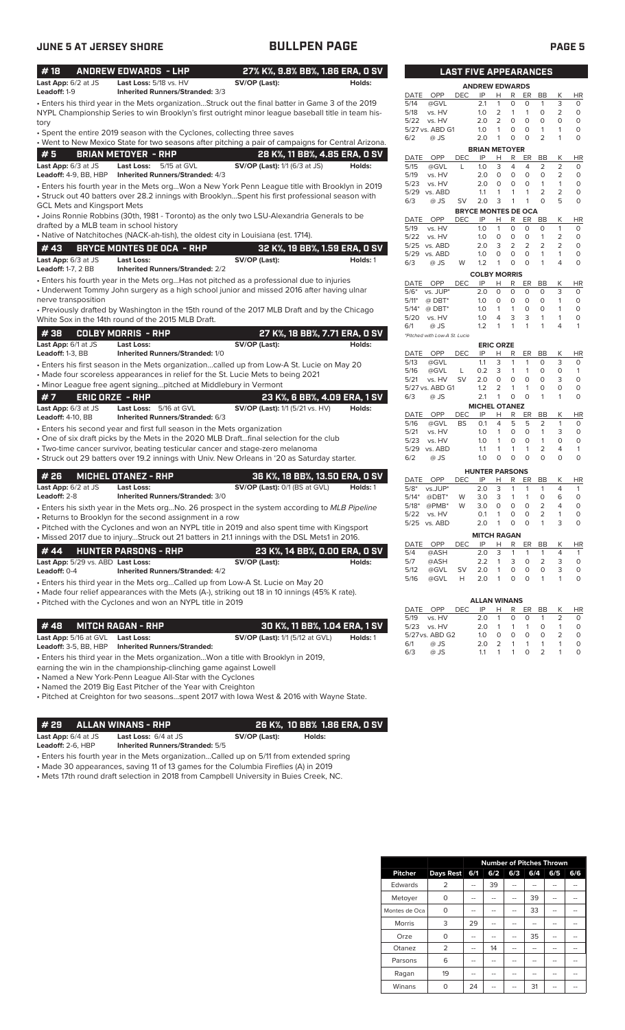# **JUNE 5 AT JERSEY SHORE BULLPEN PAGE PAGE 5**

| #18<br>Last App: 6/2 at JS                   | <b>ANDREW EDWARDS - LHP</b><br>Last Loss: 5/18 vs. HV                              | 27% K%, 9.8% BB%, 1.86 ERA, 0 SV<br>SV/OP (Last):                                                  | Holds:   |
|----------------------------------------------|------------------------------------------------------------------------------------|----------------------------------------------------------------------------------------------------|----------|
| Leadoff: 1-9                                 | <b>Inherited Runners/Stranded: 3/3</b>                                             |                                                                                                    |          |
|                                              |                                                                                    | • Enters his third year in the Mets organizationStruck out the final batter in Game 3 of the 2019  |          |
|                                              |                                                                                    | NYPL Championship Series to win Brooklyn's first outright minor league baseball title in team his- |          |
| tory                                         |                                                                                    |                                                                                                    |          |
|                                              | • Spent the entire 2019 season with the Cyclones, collecting three saves           |                                                                                                    |          |
|                                              |                                                                                    | . Went to New Mexico State for two seasons after pitching a pair of campaigns for Central Arizona. |          |
| #5                                           | <b>BRIAN METOYER - RHP</b>                                                         | 28 K%, 11 BB%, 4.85 ERA, 0 SV                                                                      |          |
| Last App: 6/3 at JS<br>Leadoff: 4-9, BB, HBP | <b>Last Loss:</b><br>5/15 at GVL<br>Inherited Runners/Stranded: 4/3                | <b>SV/OP (Last):</b> 1/1 (6/3 at JS)                                                               | Holds:   |
|                                              |                                                                                    | • Enters his fourth year in the Mets orgWon a New York Penn League title with Brooklyn in 2019     |          |
|                                              |                                                                                    | • Struck out 40 batters over 28.2 innings with BrooklynSpent his first professional season with    |          |
| <b>GCL Mets and Kingsport Mets</b>           |                                                                                    |                                                                                                    |          |
|                                              |                                                                                    | • Joins Ronnie Robbins (30th, 1981 - Toronto) as the only two LSU-Alexandria Generals to be        |          |
| drafted by a MLB team in school history      |                                                                                    |                                                                                                    |          |
|                                              | • Native of Natchitoches (NACK-ah-tish), the oldest city in Louisiana (est. 1714). |                                                                                                    |          |
| #43                                          | <b>BRYCE MONTES DE OCA - RHP</b>                                                   | 32 K%, 19 BB%, 1.59 ERA, 0 SV                                                                      |          |
| Last App: 6/3 at JS                          | Last Loss:                                                                         | SV/OP (Last):                                                                                      | Holds: 1 |
| <b>Leadoff: 1-7, 2 BB</b>                    | <b>Inherited Runners/Stranded: 2/2</b>                                             |                                                                                                    |          |
|                                              |                                                                                    | • Enters his fourth year in the Mets orgHas not pitched as a professional due to injuries          |          |
| nerve transposition                          |                                                                                    | • Underwent Tommy John surgery as a high school junior and missed 2016 after having ulnar          |          |
|                                              |                                                                                    | • Previously drafted by Washington in the 15th round of the 2017 MLB Draft and by the Chicago      |          |
|                                              | White Sox in the 14th round of the 2015 MLB Draft.                                 |                                                                                                    |          |
| #38                                          | <b>COLBY MORRIS - RHP</b>                                                          | 27 K%, 18 BB%, 7.71 ERA, 0 SV                                                                      |          |
| Last App: 6/1 at JS                          | Last Loss:                                                                         | SV/OP (Last):                                                                                      | Holds:   |
| Leadoff: 1-3, BB                             | Inherited Runners/Stranded: 1/0                                                    |                                                                                                    |          |
|                                              |                                                                                    | • Enters his first season in the Mets organizationcalled up from Low-A St. Lucie on May 20         |          |
|                                              |                                                                                    | • Made four scoreless appearances in relief for the St. Lucie Mets to being 2021                   |          |
|                                              | • Minor League free agent signingpitched at Middlebury in Vermont                  |                                                                                                    |          |
| #7                                           | <b>ERIC ORZE - RHP</b>                                                             | 23 K%, 6 BB%, 4.09 ERA, 1 SV                                                                       |          |
| Last App: 6/3 at JS                          | Last Loss: 5/16 at GVL                                                             | <b>SV/OP (Last):</b> 1/1 (5/21 vs. HV)                                                             | Holds:   |
| <b>Leadoff: 4-10, BB</b>                     | Inherited Runners/Stranded: 6/3                                                    |                                                                                                    |          |
|                                              | • Enters his second year and first full season in the Mets organization            |                                                                                                    |          |
|                                              |                                                                                    | • One of six draft picks by the Mets in the 2020 MLB Draftfinal selection for the club             |          |
|                                              |                                                                                    | • Two-time cancer survivor, beating testicular cancer and stage-zero melanoma                      |          |
|                                              |                                                                                    | • Struck out 29 batters over 19.2 innings with Univ. New Orleans in '20 as Saturday starter.       |          |
| #26                                          | <b>MICHEL OTANEZ - RHP</b>                                                         | 36 K%, 18 BB%, 13.50 ERA, 0 SV                                                                     |          |
| Last App: 6/2 at JS                          | <b>Last Loss:</b>                                                                  | SV/OP (Last): 0/1 (BS at GVL)                                                                      | Holds: 1 |
| Leadoff: 2-8                                 | <b>Inherited Runners/Stranded: 3/0</b>                                             |                                                                                                    |          |
|                                              |                                                                                    | • Enters his sixth year in the Mets orgNo. 26 prospect in the system according to MLB Pipeline     |          |
|                                              | • Returns to Brooklyn for the second assignment in a row                           |                                                                                                    |          |
|                                              |                                                                                    | • Pitched with the Cyclones and won an NYPL title in 2019 and also spent time with Kingsport       |          |
|                                              |                                                                                    | . Missed 2017 due to injuryStruck out 21 batters in 21.1 innings with the DSL Mets1 in 2016.       |          |
| #44                                          | <b>HUNTER PARSONS - RHP</b>                                                        | 23 K%, 14 BB%, 0.00 ERA, 0 SV                                                                      |          |
| Last App: 5/29 vs. ABD Last Loss:            |                                                                                    | SV/OP (Last):                                                                                      | Holds:   |
| Leadoff: 0-4                                 | <b>Inherited Runners/Stranded: 4/2</b>                                             |                                                                                                    |          |
|                                              |                                                                                    | • Enters his third year in the Mets orgCalled up from Low-A St. Lucie on May 20                    |          |
|                                              | • Pitched with the Cyclones and won an NYPL title in 2019                          | • Made four relief appearances with the Mets (A-), striking out 18 in 10 innings (45% K rate).     |          |
|                                              |                                                                                    |                                                                                                    |          |
| #48                                          | <b>MITCH RAGAN - RHP</b>                                                           |                                                                                                    |          |
|                                              |                                                                                    | 30 K%, 11 BB%, 1.04 ERA, 1 SV                                                                      |          |
| Last App: 5/16 at GVL                        | Last Loss:                                                                         | <b>SV/OP (Last):</b> 1/1 (5/12 at GVL)                                                             | Holds: 1 |

**Leadoff:** 3-5, BB, HBP **Inherited Runners/Stranded:**

• Enters his third year in the Mets organization...Won a title with Brooklyn in 2019,

earning the win in the championship-clinching game against Lowell

• Named a New York-Penn League All-Star with the Cyclones

• Named the 2019 Big East Pitcher of the Year with Creighton

• Pitched at Creighton for two seasons...spent 2017 with Iowa West & 2016 with Wayne State.

**# 29 ALLAN WINANS - RHP 26 K%, 10 BB% 1.86 ERA, 0 SV Last App:** 6/4 at JS **Last Loss:** 6/4 at JS **SV/OP (Last): Holds:**

**Leadoff:** 2-6, HBP **Inherited Runners/Stranded:** 5/5

• Enters his fourth year in the Mets organization...Called up on 5/11 from extended spring

• Made 30 appearances, saving 11 of 13 games for the Columbia Fireflies (A) in 2019

• Mets 17th round draft selection in 2018 from Campbell University in Buies Creek, NC.

|              |                               | <b>LAST FIVE APPEARANCES</b> |                       |                  |                |        |           |                |           |
|--------------|-------------------------------|------------------------------|-----------------------|------------------|----------------|--------|-----------|----------------|-----------|
|              |                               |                              | <b>ANDREW EDWARDS</b> |                  |                |        |           |                |           |
| DATE         | <b>OPP</b>                    | DEC                          | IP                    | н                | R              | ER     | <b>BB</b> | Κ              | HR        |
| 5/14         | @GVL                          |                              | 2.1                   | 1                | 0              | 0      | 1         | 3              | 0         |
| 5/18         | vs. HV                        |                              | 1.0                   | 2                | 1              | 1      | 0         | 2              | 0         |
| 5/22         | vs. HV                        |                              | 2.0                   | $\overline{2}$   | 0              | 0      | 0         | 0              | 0         |
|              | 5/27 vs. ABD G1               |                              | 1.0                   | 1                | 0              | 0      | 1         | 1              | 0         |
| 6/2          | @ JS                          |                              | 2.0                   | 1                | 0              | 0      | 2         | 1              | 0         |
|              |                               |                              | <b>BRIAN METOYER</b>  |                  |                |        |           |                |           |
| DATE         | OPP                           | DEC                          | IP                    | Н                | R              | ER     | <b>BB</b> | Κ              | ΗR        |
| 5/15         | @GVL                          | L                            | 1.0                   | 3                | 4              | 4      | 2         | 2              | 0         |
| 5/19         | vs. HV                        |                              | 2.0                   | 0                | 0              | 0      | 0         | 2              | 0         |
| 5/23         | vs. HV                        |                              | 2.0                   | 0                | 0              | 0      | 1         | 1              | 0         |
| 5/29         | vs. ABD                       |                              | 1.1                   | 1                | 1              | 1      | 2         | 2              | 0         |
| 6/3          | @ JS                          | SV                           | 2.0                   | 3                | 1              | 1      | 0         | 5              | 0         |
|              |                               | <b>BRYCE MONTES DE OCA</b>   |                       |                  |                |        |           |                |           |
| DATE         | OPP                           | DEC                          | IP                    | н                | R              | ER     | <b>BB</b> | Κ              | ΗR        |
| 5/19         | vs. HV                        |                              | 1.0                   | 1                | 0              | 0      | 0         | 1              | 0         |
| 5/22         | vs. HV                        |                              | 1.0                   | 0                | 0              | 0      | 1         | 2              | 0         |
| 5/25         | vs. ABD                       |                              | 2.0                   | 3                | $\overline{2}$ | 2      | 2         | $\overline{2}$ | 0         |
| 5/29         | vs. ABD                       |                              | 1.0                   | 0                | 0              | 0      | 1         | 1              | 0         |
| 6/3          | @ JS                          | W                            | 1.2                   | 1                | 0              | 0      | 1         | 4              | 0         |
|              |                               |                              | <b>COLBY MORRIS</b>   |                  |                |        |           |                |           |
| DATE         | OPP                           | DEC                          | ΙP                    | Н                | R              | ER     | BB        | Κ              | ΗR        |
| $5/6*$       | vs. JUP*                      |                              | 2.0                   | 0                | 0              | 0      | 0         | 3              | 0         |
| $5/11*$      | $@$ DBT*                      |                              | 1.0                   | 0                | 0              | 0      | 0         | 1              | 0         |
| $5/14*$      | $@$ DBT*                      |                              | 1.0                   | 1                | 1              | 0      | 0         | 1              | 0         |
| 5/20         | vs. HV                        |                              | 1.0                   | 4                | 3              | 3      | 1         | 1              | 0         |
| 6/1          | @ JS                          |                              | 1.2                   | 1                | 1              | 1      | 1         | 4              | 1         |
|              | *Pitched with Low-A St. Lucie |                              |                       |                  |                |        |           |                |           |
|              |                               |                              |                       | <b>ERIC ORZE</b> |                |        |           |                |           |
| <b>DATE</b>  | OPP                           | DEC                          | IP                    | н                | R              | ER     | <b>BB</b> | Κ              | ΗR        |
| 5/13         | @GVL                          |                              | 1.1                   | 3                | 1              | 1      | 0         | 3              | 0         |
| 5/16         | @GVL                          | L                            | 0.2                   | 3                | 1              | 1      | 0         | 0              | 1         |
| 5/21         | vs. HV                        | SV                           | 2.0                   | 0                | 0              | O      | 0         | 3              | 0         |
|              | 5/27 vs. ABD G1               |                              | 1.2                   | 2                | 1              | 1      | 0         | 0              | 0         |
| 6/3          | @ JS                          |                              | 2.1                   | 1                | 0              | 0      | 1         | 1              | 0         |
|              |                               |                              | <b>MICHEL OTANEZ</b>  |                  |                |        |           |                |           |
| DATE<br>5/16 | OPP                           | DEC                          | IP                    | Н<br>4           | R              | ER     | BB<br>2   | Κ<br>1         | ΗR        |
|              | @GVL                          | BS                           | 0.1                   | 1                | 5<br>0         | 5<br>0 | 1         |                | 0         |
| 5/21         | vs. HV                        |                              | 1.0                   | 1                | 0              | 0      | 1         | 3<br>0         | 0<br>0    |
| 5/23         | vs. HV                        |                              | 1.0                   |                  |                |        |           |                |           |
| 5/29         | vs. ABD                       |                              | 1.1                   | 1                | 1              | 1      | 2         | 4              | 1         |
| 6/2          | @ JS                          |                              | 1.0                   | 0                | 0              | 0      | 0         | 0              | 0         |
|              |                               |                              | <b>HUNTER PARSONS</b> |                  |                |        |           |                |           |
| DATE         | OPP                           | DEC                          | IP                    | н                | R              | ER     | <b>BB</b> | Κ              | <b>HR</b> |
| $5/8*$       | vs.JUP*                       |                              | 2.0                   | 3                | 1              | 1      | 1         | 4              | 1         |
| $5/14*$      | @DBT*                         | W                            | 3.0                   | 3                | 1              | 1      | 0         | 6              | 0         |
| $5/18*$      | @PMB*                         | W                            | 3.0                   | 0                | 0              | 0      | 2         | 4              | 0         |
| 5/22         | vs. HV                        |                              | 0.1                   | 1                | 0              | 0      | 2         | 1              | 0         |
| 5/25         | vs. ABD                       |                              | 2.0                   | 1                | 0              | 0      | 1         | 3              | 0         |
|              |                               |                              | <b>MITCH RAGAN</b>    |                  |                |        |           |                |           |
| DATE         | OPP                           | DEC                          | ΙP                    | Н                | R              | ER     | BB        | Κ              | <u>HR</u> |
| 5/4          | @ASH                          |                              | 2.0                   | 3                | 1              | 1      | 1         | 4              | 1         |
| 5/7          | @ASH                          |                              | 2.2                   | 1                | 3              | 0      | 2         | 3              | 0         |
| 5/12         | @GVL                          | SV                           | 2.0                   | 1                | 0              | 0      | 0         | 3              | 0         |
| 5/16         | @GVL                          | н                            | 2.0                   | 1                | 0              | 0      | 1         | 1              | 0         |
|              |                               |                              |                       |                  |                |        |           |                |           |
|              |                               |                              | <b>ALLAN WINANS</b>   |                  |                |        |           |                |           |
|              |                               |                              |                       |                  |                |        |           |                |           |

|     |                 |      | <b>ALLAN WINANS</b> |               |                |          |                |    |           |
|-----|-----------------|------|---------------------|---------------|----------------|----------|----------------|----|-----------|
|     | DATE OPP        | DEC. | IP                  | H.            | R              | ER       | BB             | K  | <b>HR</b> |
|     | 5/19 vs. HV     |      | 2.0                 | -1            | $\Omega$       | $\circ$  | -1             |    | O         |
|     | 5/23 vs. HV     |      | 2 O                 | 1             | $\sim$ 1       | 1        | $\Omega$       | -1 | $\Omega$  |
|     | 5/27 vs. ABD G2 |      | 1 <sub>O</sub>      | O             | $\Omega$       | $\Omega$ | $\Omega$       |    | O         |
| 6/1 | @ JS            |      | 2 O                 | $\mathcal{P}$ | $\overline{1}$ | 1        | $\overline{1}$ |    | $\Omega$  |
| 6/3 | $@$ JS          |      | 11                  | $\mathbf{1}$  | 1              | O.       | $\mathcal{P}$  |    | O         |
|     |                 |      |                     |               |                |          |                |    |           |

|                |                |     |     |     |     | <b>Number of Pitches Thrown</b> |     |
|----------------|----------------|-----|-----|-----|-----|---------------------------------|-----|
| <b>Pitcher</b> | Days Rest      | 6/1 | 6/2 | 6/3 | 6/4 | 6/5                             | 6/6 |
| Edwards        | 2              |     | 39  |     |     |                                 |     |
| Metoyer        | 0              |     |     |     | 39  |                                 |     |
| Montes de Oca  | $\Omega$       |     | --  | --  | 33  | --                              | --  |
| <b>Morris</b>  | 3              | 29  | --  | --  | --  | --                              | --  |
| Orze           | $\Omega$       |     | --  | --  | 35  | --                              | --  |
| Otanez         | $\overline{2}$ |     | 14  |     |     |                                 |     |
| Parsons        | 6              |     | --  | --  |     | --                              | --  |
| Ragan          | 19             |     | --  | --  | --  | --                              |     |
| Winans         | ი              | 24  |     |     | 31  |                                 |     |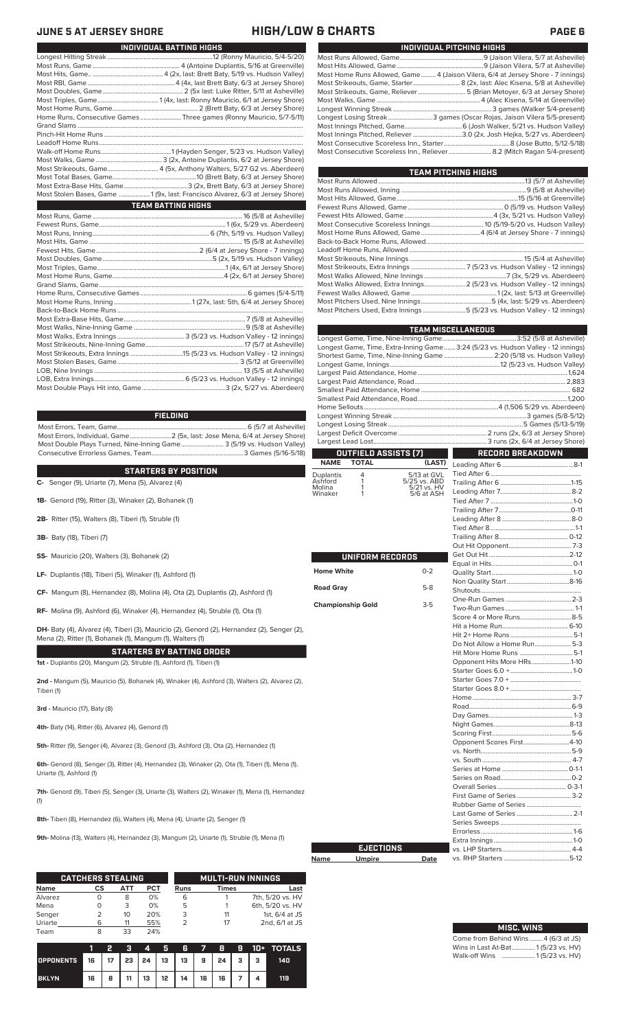|    | INDIVIDUAL PITCHING HIGHS                                                       |
|----|---------------------------------------------------------------------------------|
| 1) |                                                                                 |
| ∘) |                                                                                 |
| 1) | Most Home Runs Allowed, Game 4 (Jaison Vilera, 6/4 at Jersey Shore - 7 innings) |
| ∘) |                                                                                 |
| ∘) | Most Strikeouts, Game, Reliever 5 (Brian Metoyer, 6/3 at Jersey Shore)          |
| ∘) |                                                                                 |
| ∘) |                                                                                 |
| I) | Longest Losing Streak3 games (Oscar Rojas, Jaison Vilera 5/5-present)           |
| L. |                                                                                 |
|    | Most Innings Pitched Poliover<br>3002 loch Hoika 5/27 vs. Abordoon)             |

Most Innings Pitched, Reliever ..............................3.0 (2x, Josh Hejka, 5/27 vs. Aberdeen) Most Consecutive Scoreless Inn., Starter........................................8 (Jose Butto, 5/12-5/18) Most Consecutive Scoreless Inn., Reliever..........................8.2 (Mitch Ragan 5/4-present)

| <b>TEAM PITCHING HIGHS</b>                                                |  |
|---------------------------------------------------------------------------|--|
|                                                                           |  |
|                                                                           |  |
|                                                                           |  |
|                                                                           |  |
|                                                                           |  |
| Most Consecutive Scoreless Innings 10 (5/19-5/20 vs. Hudson Valley)       |  |
|                                                                           |  |
|                                                                           |  |
|                                                                           |  |
|                                                                           |  |
|                                                                           |  |
|                                                                           |  |
| Most Walks Allowed, Extra Innings 2 (5/23 vs. Hudson Valley - 12 innings) |  |
|                                                                           |  |
|                                                                           |  |
| Most Pitchers Used, Extra Innings5 (5/23 vs. Hudson Valley - 12 innings)  |  |

|                   |                          |                           | <b>TEAM MISCELLANEOUS</b>                                                        |  |
|-------------------|--------------------------|---------------------------|----------------------------------------------------------------------------------|--|
|                   |                          |                           |                                                                                  |  |
|                   |                          |                           | Longest Game, Time, Extra-Inning Game 3:24 (5/23 vs. Hudson Valley - 12 innings) |  |
|                   |                          |                           | Shortest Game, Time, Nine-Inning Game  2:20 (5/18 vs. Hudson Valley)             |  |
|                   |                          |                           |                                                                                  |  |
|                   |                          |                           |                                                                                  |  |
|                   |                          |                           |                                                                                  |  |
|                   |                          |                           |                                                                                  |  |
|                   |                          |                           |                                                                                  |  |
|                   |                          |                           |                                                                                  |  |
|                   |                          |                           |                                                                                  |  |
|                   |                          |                           |                                                                                  |  |
|                   |                          |                           |                                                                                  |  |
|                   | OUTFIELD ASSISTS [7]     |                           | RECORD BREAKDOWN                                                                 |  |
| <b>NAME</b>       | <b>TOTAL</b>             | (LAST)                    |                                                                                  |  |
| Duplantis         | 4                        | 5/13 at GVL               |                                                                                  |  |
| Ashford           | 1                        | 5/25 vs. ABD              |                                                                                  |  |
| Molina<br>Winaker | 1<br>1                   | 5/21 vs. HV<br>5/6 at ASH |                                                                                  |  |
|                   |                          |                           |                                                                                  |  |
|                   |                          |                           |                                                                                  |  |
|                   |                          |                           |                                                                                  |  |
|                   |                          |                           |                                                                                  |  |
|                   |                          |                           |                                                                                  |  |
|                   |                          |                           |                                                                                  |  |
|                   | <b>UNIFORM RECORDS</b>   |                           |                                                                                  |  |
|                   |                          |                           |                                                                                  |  |
| <b>Home White</b> |                          | $0 - 2$                   |                                                                                  |  |
|                   |                          |                           |                                                                                  |  |
| <b>Road Gray</b>  |                          | $5-8$                     |                                                                                  |  |
|                   |                          |                           |                                                                                  |  |
|                   | <b>Championship Gold</b> | $3-5$                     |                                                                                  |  |
|                   |                          |                           |                                                                                  |  |
|                   |                          |                           |                                                                                  |  |
|                   |                          |                           |                                                                                  |  |
|                   |                          |                           | Do Not Allow a Home Run5-3                                                       |  |
|                   |                          |                           |                                                                                  |  |
|                   |                          |                           | Opponent Hits More HRs1-10                                                       |  |
|                   |                          |                           |                                                                                  |  |
|                   |                          |                           |                                                                                  |  |
|                   |                          |                           |                                                                                  |  |
|                   |                          |                           |                                                                                  |  |
|                   |                          |                           |                                                                                  |  |
|                   |                          |                           |                                                                                  |  |
|                   |                          |                           |                                                                                  |  |
|                   |                          |                           |                                                                                  |  |
|                   |                          |                           | Opponent Scores First4-10                                                        |  |
|                   |                          |                           |                                                                                  |  |
|                   |                          |                           |                                                                                  |  |
|                   |                          |                           |                                                                                  |  |
|                   |                          |                           |                                                                                  |  |
|                   |                          |                           |                                                                                  |  |
|                   |                          |                           |                                                                                  |  |
|                   |                          |                           |                                                                                  |  |
|                   |                          |                           |                                                                                  |  |
|                   |                          |                           |                                                                                  |  |
|                   |                          |                           |                                                                                  |  |
|                   | <b>EJECTIONS</b>         |                           |                                                                                  |  |
|                   |                          | Date                      |                                                                                  |  |
| Name              | <b>Umpire</b>            |                           |                                                                                  |  |

### Come from Behind Wins ........ 4 (6/3 at JS)<br>Wins in Last At-Bat.............. 1 (5/23 vs. HV) Wins in Last At-Bat......... **MISC. WINS**

Walk-off Wins .................... 1 (5/23 vs. HV)

### **JUNE 5 AT JERSEY SHORE HIGH/LOW & CHARTS PAGE 6**

| INDIVIDUAL BATTING HIGHS                                                     |
|------------------------------------------------------------------------------|
|                                                                              |
|                                                                              |
|                                                                              |
|                                                                              |
|                                                                              |
|                                                                              |
|                                                                              |
| Home Runs, Consecutive Games Three games (Ronny Mauricio, 5/7-5/11)          |
|                                                                              |
|                                                                              |
|                                                                              |
|                                                                              |
|                                                                              |
|                                                                              |
|                                                                              |
|                                                                              |
| Most Stolen Bases, Game 1 (9x, last: Francisco Alvarez, 6/3 at Jersey Shore) |
| <b>TEAM BATTING HIGHS</b>                                                    |
|                                                                              |
|                                                                              |
|                                                                              |
|                                                                              |
|                                                                              |
|                                                                              |
|                                                                              |
|                                                                              |
|                                                                              |
|                                                                              |
|                                                                              |
|                                                                              |
|                                                                              |
|                                                                              |
|                                                                              |
|                                                                              |
|                                                                              |
|                                                                              |
|                                                                              |
|                                                                              |
|                                                                              |
|                                                                              |

### **FIELDING**

Most Errors, Team, Game...............................................................................6 (5/7 at Asheville) Most Errors, Individual, Game.........................2 (5x, last: Jose Mena, 6/4 at Jersey Shore) Most Double Plays Turned, Nine-Inning Game.......................... 3 (5/19 vs. Hudson Valley) Consecutive Errorless Games, Team.

### **STARTERS BY POSITION**

**C-** Senger (9), Uriarte (7), Mena (5), Alvarez (4)

**1B-** Genord (19), Ritter (3), Winaker (2), Bohanek (1)

**2B-** Ritter (15), Walters (8), Tiberi (1), Struble (1)

- **3B-** Baty (18), Tiberi (7)
- **SS-** Mauricio (20), Walters (3), Bohanek (2)
- **LF-** Duplantis (18), Tiberi (5), Winaker (1), Ashford (1)

**CF-** Mangum (8), Hernandez (8), Molina (4), Ota (2), Duplantis (2), Ashford (1)

**RF-** Molina (9), Ashford (6), Winaker (4), Hernandez (4), Struble (1), Ota (1)

**DH-** Baty (4), Alvarez (4), Tiberi (3), Mauricio (2), Genord (2), Hernandez (2), Senger (2), Mena (2), Ritter (1), Bohanek (1), Mangum (1), Walters (1)

**STARTERS BY BATTING ORDER**

**1st -** Duplantis (20), Mangum (2), Struble (1), Ashford (1), Tiberi (1)

**2nd -** Mangum (5), Mauricio (5), Bohanek (4), Winaker (4), Ashford (3), Walters (2), Alvarez (2), Tiberi (1)

**3rd -** Mauricio (17), Baty (8)

**4th-** Baty (14), Ritter (6), Alvarez (4), Genord (1)

**5th-** Ritter (9), Senger (4), Alvarez (3), Genord (3), Ashford (3), Ota (2), Hernandez (1)

**6th-** Genord (8), Senger (3), Ritter (4), Hernandez (3), Winaker (2), Ota (1), Tiberi (1), Mena (1), Uriarte (1), Ashford (1)

7th- Genord (9), Tiberi (5), Senger (3), Uriarte (3), Walters (2), Winaker (1), Mena (1), Hernandez (1)

**8th-** Tiberi (8), Hernandez (6), Walters (4), Mena (4), Uriarte (2), Senger (1)

**9th-** Molina (13), Walters (4), Hernandez (3), Mangum (2), Uriarte (1), Struble (1), Mena (1)

|             | <b>CATCHERS STEALING</b> |     |            |             | <b>MULTI-RUN INNINGS</b> |                  |
|-------------|--------------------------|-----|------------|-------------|--------------------------|------------------|
| <b>Name</b> | CS                       | АТТ | <b>PCT</b> | <b>Runs</b> | Times                    | Last             |
| Alvarez     |                          | 8   | 0%         | 6           |                          | 7th, 5/20 vs. HV |
| Mena        |                          | 3   | 0%         | 5           |                          | 6th, 5/20 vs. HV |
| Senger      |                          | 10  | 20%        | 3           |                          | 1st, 6/4 at JS   |
| Uriarte     | 6                        | 11  | 55%        |             | 17                       | 2nd, 6/1 at JS   |
| Team        | 8                        | 33  | 24%        |             |                          |                  |

|              |    |   |    | $\mathbf{A}$ | - 5. |                                         | 6 7     | я  |  | <b>9 10+ TOTALS</b> |
|--------------|----|---|----|--------------|------|-----------------------------------------|---------|----|--|---------------------|
| OPPONENTS 16 |    |   |    |              |      | 17   23   24   13   13   9   24   3   3 |         |    |  | 140                 |
| <b>BKLYN</b> | 16 | 8 | 11 | 13           | 12   |                                         | 14   16 | 16 |  | 119                 |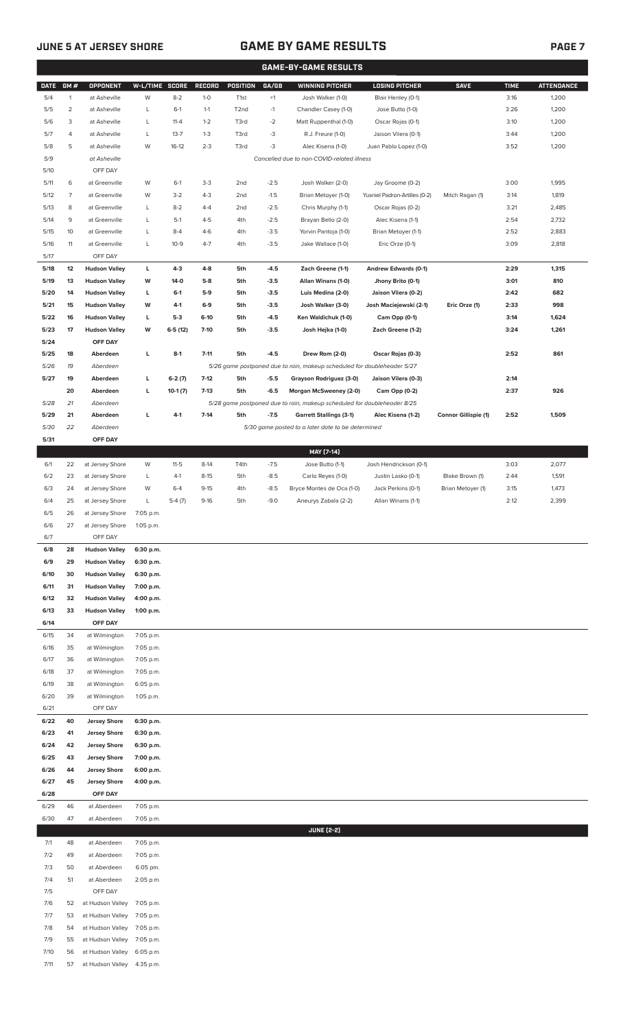# **JUNE 5 AT JERSEY SHORE GAME BY GAME RESULTS PAGE 7**

|              |                |                                 |                        |           |               |                   |        | <b>GAME-BY-GAME RESULTS</b>                                             |                               |                             |             |                   |
|--------------|----------------|---------------------------------|------------------------|-----------|---------------|-------------------|--------|-------------------------------------------------------------------------|-------------------------------|-----------------------------|-------------|-------------------|
| <b>DATE</b>  | GM#            | <b>OPPONENT</b>                 | W-L/TIME SCORE         |           | <b>RECORD</b> | POSITION          | GA/GB  | <b>WINNING PITCHER</b>                                                  | <b>LOSING PITCHER</b>         | <b>SAVE</b>                 | <b>TIME</b> | <b>ATTENDANCE</b> |
| 5/4          | $\mathbf{1}$   | at Asheville                    | W                      | $8-2$     | $1-0$         | T <sub>1st</sub>  | $+1$   | Josh Walker (1-0)                                                       | Blair Henley (0-1)            |                             | 3:16        | 1,200             |
| 5/5          | $\overline{2}$ | at Asheville                    | L                      | $6-1$     | $1 - 1$       | T <sub>2</sub> nd | $-1$   | Chandler Casey (1-0)                                                    | Jose Butto (1-0)              |                             | 3:26        | 1,200             |
| 5/6          | 3              | at Asheville                    | L                      | $11 - 4$  | $1 - 2$       | T3rd              | $-2$   | Matt Ruppenthal (1-0)                                                   | Oscar Rojas (0-1)             |                             | 3:10        | 1,200             |
| 5/7          | 4              | at Asheville                    | L                      | $13 - 7$  | $1 - 3$       | T3rd              | $-3$   | R.J. Freure (1-0)                                                       | Jaison Vilera (0-1)           |                             | 3:44        | 1,200             |
| 5/8          | 5              | at Asheville                    | W                      | $16-12$   | $2 - 3$       | T3rd              | -3     | Alec Kisena (1-0)                                                       | Juan Pablo Lopez (1-0)        |                             | 3:52        | 1,200             |
| 5/9          |                | at Asheville                    |                        |           |               |                   |        | Cancelled due to non-COVID-related illness                              |                               |                             |             |                   |
| 5/10         |                | OFF DAY                         |                        |           |               |                   |        |                                                                         |                               |                             |             |                   |
| 5/11         | 6              | at Greenville                   | W                      | $6-1$     | $3 - 3$       | 2 <sub>nd</sub>   | $-2.5$ | Josh Walker (2-0)                                                       | Jay Groome (0-2)              |                             | 3:00        | 1,995             |
| 5/12         | $\overline{7}$ | at Greenville                   | W                      | $3-2$     | $4 - 3$       | 2nd               | $-1.5$ | Brian Metoyer (1-0)                                                     | Yusniel Padron-Artilles (0-2) | Mitch Ragan (1)             | 3:14        | 1,819             |
| 5/13         | 8              | at Greenville                   | $\mathsf L$            | $8 - 2$   | $4 - 4$       | 2nd               | $-2.5$ | Chris Murphy (1-1)                                                      | Oscar Rojas (0-2)             |                             | 3:21        | 2,485             |
| 5/14         | 9              | at Greenville                   | L                      | $5-1$     | $4 - 5$       | 4th               | $-2.5$ | Brayan Bello (2-0)                                                      | Alec Kisena (1-1)             |                             | 2:54        | 2,732             |
| 5/15         | 10             | at Greenville                   | L                      | $8 - 4$   | $4-6$         | 4th               | $-3.5$ | Yorvin Pantoja (1-0)                                                    | Brian Metoyer (1-1)           |                             | 2:52        | 2,883             |
| 5/16         | 11             | at Greenville                   | L                      | $10-9$    | $4 - 7$       | 4th               | $-3.5$ | Jake Wallace (1-0)                                                      | Eric Orze (0-1)               |                             | 3:09        | 2,818             |
| 5/17         |                | OFF DAY                         |                        |           |               |                   |        |                                                                         |                               |                             |             |                   |
| 5/18         | 12             | <b>Hudson Valley</b>            | L                      | $4 - 3$   | $4 - 8$       | 5th               | $-4.5$ | Zach Greene (1-1)                                                       | Andrew Edwards (0-1)          |                             | 2:29        | 1,315             |
| 5/19         | 13             | <b>Hudson Valley</b>            | W                      | $14-0$    | $5-8$         | 5th               | $-3.5$ | Allan Winans (1-0)                                                      | Jhony Brito (0-1)             |                             | 3:01        | 810               |
| 5/20         | 14             | <b>Hudson Valley</b>            | L                      | $6-1$     | $5-9$         | 5th               | $-3.5$ | Luis Medina (2-0)                                                       | Jaison Vilera (0-2)           |                             | 2:42        | 682               |
| 5/21         | 15             | <b>Hudson Valley</b>            | W                      | 4-1       | $6-9$         | 5th               | $-3.5$ | Josh Walker (3-0)                                                       | Josh Maciejewski (2-1)        | Eric Orze (1)               | 2:33        | 998               |
| 5/22         | 16             | <b>Hudson Valley</b>            | L                      | $5-3$     | $6-10$        | 5th               | $-4.5$ | Ken Waldichuk (1-0)                                                     | Cam Opp (0-1)                 |                             | 3:14        | 1,624             |
| 5/23         | 17             | <b>Hudson Valley</b>            | W                      | $6-5(12)$ | $7-10$        | 5th               | $-3.5$ | Josh Hejka (1-0)                                                        | Zach Greene (1-2)             |                             | 3:24        | 1,261             |
| 5/24         |                | OFF DAY                         |                        |           |               |                   |        |                                                                         |                               |                             |             |                   |
| 5/25         | 18             | Aberdeen                        | L                      | $8-1$     | $7 - 11$      | 5th               | $-4.5$ | Drew Rom (2-0)                                                          | Oscar Rojas (0-3)             |                             | 2:52        | 861               |
|              |                |                                 |                        |           |               |                   |        |                                                                         |                               |                             |             |                   |
| 5/26<br>5/27 | 19<br>19       | Aberdeen<br>Aberdeen            | г                      |           | $7-12$        | 5th               | $-5.5$ | 5/26 game postponed due to rain, makeup scheduled for doubleheader 5/27 |                               |                             | 2:14        |                   |
|              |                |                                 |                        | $6-2(7)$  |               |                   |        | Grayson Rodriguez (3-0)                                                 | Jaison Vilera (0-3)           |                             |             |                   |
|              | 20             | Aberdeen                        | г                      | $10-1(7)$ | $7-13$        | 5th               | $-6.5$ | Morgan McSweeney (2-0)                                                  | Cam Opp (0-2)                 |                             | 2:37        | 926               |
| 5/28         | 21             | Aberdeen<br>Aberdeen            | г                      | $4-1$     | $7-14$        | 5th               | $-7.5$ | 5/28 game postponed due to rain, makeup scheduled for doubleheader 8/25 |                               |                             | 2:52        | 1,509             |
| 5/29<br>5/30 | 21             | Aberdeen                        |                        |           |               |                   |        | <b>Garrett Stallings (3-1)</b>                                          | Alec Kisena (1-2)             | <b>Connor Gillispie (1)</b> |             |                   |
| 5/31         | 22             | OFF DAY                         |                        |           |               |                   |        | 5/30 game posted to a later date to be determined                       |                               |                             |             |                   |
|              |                |                                 |                        |           |               |                   |        |                                                                         |                               |                             |             |                   |
|              |                |                                 |                        |           |               |                   |        | MAY [7-14]                                                              |                               |                             |             |                   |
| 6/1          | 22             | at Jersey Shore                 | W                      | $11 - 5$  | $8-14$        | T4th              | $-7.5$ | Jose Butto (1-1)                                                        | Josh Hendrickson (0-1)        |                             | 3:03        | 2,077             |
| 6/2          | 23             | at Jersey Shore                 | L                      | $4-1$     | $8 - 15$      | 5th               | $-8.5$ | Carlo Reyes (1-0)                                                       | Justin Lasko (0-1)            | Blake Brown (1)             | 2:44        | 1,591             |
| 6/3          | 24             | at Jersey Shore                 | W                      | $6 - 4$   | $9 - 15$      | 4th               | $-8.5$ | Bryce Montes de Oca (1-0)                                               | Jack Perkins (0-1)            | Brian Metoyer (1)           | 3:15        | 1,473             |
| 6/4          | 25             | at Jersey Shore                 | L                      | $5-4(7)$  | $9 - 16$      | 5th               | $-9.0$ | Aneurys Zabala (2-2)                                                    | Allan Winans (1-1)            |                             | 2:12        | 2,399             |
| 6/5          | 26             | at Jersey Shore                 | 7:05 p.m.              |           |               |                   |        |                                                                         |                               |                             |             |                   |
| 6/6          | 27             | at Jersey Shore                 | 1:05 p.m.              |           |               |                   |        |                                                                         |                               |                             |             |                   |
| 6/7          |                | OFF DAY                         |                        |           |               |                   |        |                                                                         |                               |                             |             |                   |
| 6/8          | 28             | <b>Hudson Valley</b>            | 6:30 p.m.              |           |               |                   |        |                                                                         |                               |                             |             |                   |
| 6/9          | 29             | <b>Hudson Valley</b>            | 6:30 p.m.              |           |               |                   |        |                                                                         |                               |                             |             |                   |
| 6/10         | 30             | <b>Hudson Valley</b>            | 6:30 p.m.              |           |               |                   |        |                                                                         |                               |                             |             |                   |
| 6/11         | 31             | <b>Hudson Valley</b>            | 7:00 p.m.              |           |               |                   |        |                                                                         |                               |                             |             |                   |
| 6/12<br>6/13 | 32<br>33       | <b>Hudson Valley</b>            | 4:00 p.m.              |           |               |                   |        |                                                                         |                               |                             |             |                   |
| 6/14         |                | <b>Hudson Valley</b><br>OFF DAY | 1:00 p.m.              |           |               |                   |        |                                                                         |                               |                             |             |                   |
|              | 34             |                                 |                        |           |               |                   |        |                                                                         |                               |                             |             |                   |
| 6/15<br>6/16 | 35             | at Wilmington<br>at Wilmington  | 7:05 p.m.<br>7:05 p.m. |           |               |                   |        |                                                                         |                               |                             |             |                   |
| 6/17         | 36             | at Wilmington                   | 7:05 p.m.              |           |               |                   |        |                                                                         |                               |                             |             |                   |
| 6/18         | 37             | at Wilmington                   | 7:05 p.m.              |           |               |                   |        |                                                                         |                               |                             |             |                   |
| 6/19         | 38             | at Wilmington                   | 6:05 p.m.              |           |               |                   |        |                                                                         |                               |                             |             |                   |
| 6/20         | 39             | at Wilmington                   | 1:05 p.m.              |           |               |                   |        |                                                                         |                               |                             |             |                   |
| 6/21         |                | OFF DAY                         |                        |           |               |                   |        |                                                                         |                               |                             |             |                   |
| 6/22         | 40             | <b>Jersey Shore</b>             | 6:30 p.m.              |           |               |                   |        |                                                                         |                               |                             |             |                   |
| 6/23         | 41             | <b>Jersey Shore</b>             | 6:30 p.m.              |           |               |                   |        |                                                                         |                               |                             |             |                   |
| 6/24         | 42             | <b>Jersey Shore</b>             | 6:30 p.m.              |           |               |                   |        |                                                                         |                               |                             |             |                   |
| 6/25         | 43             | <b>Jersey Shore</b>             | 7:00 p.m.              |           |               |                   |        |                                                                         |                               |                             |             |                   |
| 6/26         | 44             | <b>Jersey Shore</b>             | 6:00 p.m.              |           |               |                   |        |                                                                         |                               |                             |             |                   |
| 6/27         | 45             | <b>Jersey Shore</b>             | 4:00 p.m.              |           |               |                   |        |                                                                         |                               |                             |             |                   |
| 6/28         |                | OFF DAY                         |                        |           |               |                   |        |                                                                         |                               |                             |             |                   |
| 6/29         | 46             | at Aberdeen                     | 7:05 p.m.              |           |               |                   |        |                                                                         |                               |                             |             |                   |
| 6/30         | 47             | at Aberdeen                     | 7:05 p.m.              |           |               |                   |        |                                                                         |                               |                             |             |                   |
|              |                |                                 |                        |           |               |                   |        | <b>JUNE [2-2]</b>                                                       |                               |                             |             |                   |
| 7/1          | 48             | at Aberdeen                     | 7:05 p.m.              |           |               |                   |        |                                                                         |                               |                             |             |                   |
| 7/2          | 49             | at Aberdeen                     | 7:05 p.m.              |           |               |                   |        |                                                                         |                               |                             |             |                   |
| 7/3          | 50             | at Aberdeen                     | 6:05 pm.               |           |               |                   |        |                                                                         |                               |                             |             |                   |
| 7/4          | 51             | at Aberdeen                     | 2:05 p.m.              |           |               |                   |        |                                                                         |                               |                             |             |                   |
| 7/5          |                | OFF DAY                         |                        |           |               |                   |        |                                                                         |                               |                             |             |                   |
| 7/6          | 52             | at Hudson Valley                | 7:05 p.m.              |           |               |                   |        |                                                                         |                               |                             |             |                   |
| 7/7          | 53             | at Hudson Valley                | 7:05 p.m.              |           |               |                   |        |                                                                         |                               |                             |             |                   |
| 7/8          | 54             | at Hudson Valley                | 7:05 p.m.              |           |               |                   |        |                                                                         |                               |                             |             |                   |
| 7/9          | 55             | at Hudson Valley                | 7:05 p.m.              |           |               |                   |        |                                                                         |                               |                             |             |                   |
| 7/10         | 56             | at Hudson Valley                | 6:05 p.m.              |           |               |                   |        |                                                                         |                               |                             |             |                   |
| 7/11         | 57             | at Hudson Valley                | 4:35 p.m.              |           |               |                   |        |                                                                         |                               |                             |             |                   |
|              |                |                                 |                        |           |               |                   |        |                                                                         |                               |                             |             |                   |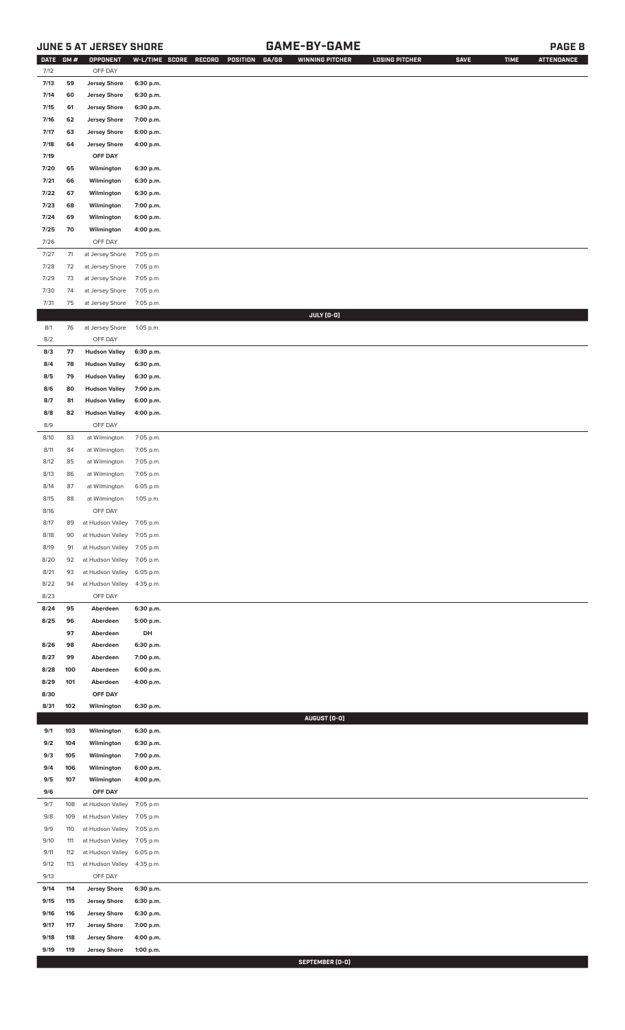## **JUNE 5 AT JERSEY SHORE GAME-BY-GAME PAGE 8**

| <b>DATE</b>  | GM#        | OPPONENT                                       | W-L/TIME SCORE         | RECORD | POSITION | GA/GB | <b>WINNING PITCHER</b> | <b>LOSING PITCHER</b> | <b>SAVE</b> | <b>TIME</b> | <b>ATTENDANCE</b> |
|--------------|------------|------------------------------------------------|------------------------|--------|----------|-------|------------------------|-----------------------|-------------|-------------|-------------------|
| 7/12         |            | OFF DAY                                        |                        |        |          |       |                        |                       |             |             |                   |
| 7/13         | 59         | <b>Jersey Shore</b>                            | 6:30 p.m.              |        |          |       |                        |                       |             |             |                   |
| 7/14         | 60         | <b>Jersey Shore</b>                            | 6:30 p.m.              |        |          |       |                        |                       |             |             |                   |
| 7/15<br>7/16 | 61<br>62   | <b>Jersey Shore</b><br><b>Jersey Shore</b>     | 6:30 p.m.<br>7:00 p.m. |        |          |       |                        |                       |             |             |                   |
| 7/17         | 63         | <b>Jersey Shore</b>                            | 6:00 p.m.              |        |          |       |                        |                       |             |             |                   |
| 7/18         | 64         | <b>Jersey Shore</b>                            | 4:00 p.m.              |        |          |       |                        |                       |             |             |                   |
| 7/19         |            | OFF DAY                                        |                        |        |          |       |                        |                       |             |             |                   |
| 7/20         | 65         | Wilmington                                     | 6:30 p.m.              |        |          |       |                        |                       |             |             |                   |
| 7/21         | 66         | Wilmington                                     | 6:30 p.m.              |        |          |       |                        |                       |             |             |                   |
| 7/22         | 67         | Wilmington                                     | 6:30 p.m.              |        |          |       |                        |                       |             |             |                   |
| 7/23         | 68         | Wilmington                                     | 7:00 p.m.              |        |          |       |                        |                       |             |             |                   |
| 7/24         | 69         | Wilmington                                     | 6:00 p.m.              |        |          |       |                        |                       |             |             |                   |
| 7/25         | 70         | Wilmington                                     | 4:00 p.m.              |        |          |       |                        |                       |             |             |                   |
| 7/26         |            | OFF DAY                                        |                        |        |          |       |                        |                       |             |             |                   |
| 7/27         | $71$       | at Jersey Shore                                | 7:05 p.m.              |        |          |       |                        |                       |             |             |                   |
| 7/28         | 72         | at Jersey Shore                                | 7:05 p.m.              |        |          |       |                        |                       |             |             |                   |
| 7/29         | 73         | at Jersey Shore                                | 7:05 p.m.              |        |          |       |                        |                       |             |             |                   |
| 7/30         | 74         | at Jersey Shore                                | 7:05 p.m.              |        |          |       |                        |                       |             |             |                   |
| 7/31         | 75         | at Jersey Shore                                | 7:05 p.m.              |        |          |       |                        |                       |             |             |                   |
| 8/1          | 76         | at Jersey Shore                                | 1:05 p.m.              |        |          |       | JULY (0-0)             |                       |             |             |                   |
| 8/2          |            | OFF DAY                                        |                        |        |          |       |                        |                       |             |             |                   |
| 8/3          | 77         | <b>Hudson Valley</b>                           | 6:30 p.m.              |        |          |       |                        |                       |             |             |                   |
| 8/4          | 78         | <b>Hudson Valley</b>                           | 6:30 p.m.              |        |          |       |                        |                       |             |             |                   |
| 8/5          | 79         | <b>Hudson Valley</b>                           | 6:30 p.m.              |        |          |       |                        |                       |             |             |                   |
| 8/6          | 80         | <b>Hudson Valley</b>                           | 7:00 p.m.              |        |          |       |                        |                       |             |             |                   |
| 8/7          | 81         | <b>Hudson Valley</b>                           | 6:00 p.m.              |        |          |       |                        |                       |             |             |                   |
| 8/8          | 82         | <b>Hudson Valley</b>                           | 4:00 p.m.              |        |          |       |                        |                       |             |             |                   |
| 8/9          |            | OFF DAY                                        |                        |        |          |       |                        |                       |             |             |                   |
| 8/10         | 83         | at Wilmington                                  | 7:05 p.m.              |        |          |       |                        |                       |             |             |                   |
| 8/11         | 84         | at Wilmington                                  | 7:05 p.m.              |        |          |       |                        |                       |             |             |                   |
| 8/12         | 85         | at Wilmington                                  | 7:05 p.m.              |        |          |       |                        |                       |             |             |                   |
| 8/13         | 86         | at Wilmington                                  | 7:05 p.m.              |        |          |       |                        |                       |             |             |                   |
| 8/14         | 87         | at Wilmington                                  | 6:05 p.m.              |        |          |       |                        |                       |             |             |                   |
| 8/15         | 88         | at Wilmington                                  | 1:05 p.m.              |        |          |       |                        |                       |             |             |                   |
| 8/16<br>8/17 |            | OFF DAY                                        |                        |        |          |       |                        |                       |             |             |                   |
| 8/18         | 89<br>90   | at Hudson Valley 7:05 p.m.<br>at Hudson Valley | 7:05 p.m.              |        |          |       |                        |                       |             |             |                   |
| 8/19         | 91         | at Hudson Valley                               | 7:05 p.m.              |        |          |       |                        |                       |             |             |                   |
| 8/20         | 92         | at Hudson Valley                               | 7:05 p.m.              |        |          |       |                        |                       |             |             |                   |
| 8/21         | 93         | at Hudson Valley                               | 6:05 p.m.              |        |          |       |                        |                       |             |             |                   |
| 8/22         | 94         | at Hudson Valley                               | 4:35 p.m.              |        |          |       |                        |                       |             |             |                   |
| 8/23         |            | OFF DAY                                        |                        |        |          |       |                        |                       |             |             |                   |
| 8/24         | 95         | Aberdeen                                       | 6:30 p.m.              |        |          |       |                        |                       |             |             |                   |
| 8/25         | 96         | Aberdeen                                       | 5:00 p.m.              |        |          |       |                        |                       |             |             |                   |
|              | 97         | Aberdeen                                       | DH                     |        |          |       |                        |                       |             |             |                   |
| 8/26<br>8/27 | 98<br>99   | Aberdeen<br>Aberdeen                           | 6:30 p.m.              |        |          |       |                        |                       |             |             |                   |
| 8/28         | 100        | Aberdeen                                       | 7:00 p.m.<br>6:00 p.m. |        |          |       |                        |                       |             |             |                   |
| 8/29         | 101        | Aberdeen                                       | 4:00 p.m.              |        |          |       |                        |                       |             |             |                   |
| 8/30         |            | OFF DAY                                        |                        |        |          |       |                        |                       |             |             |                   |
| 8/31         | 102        | Wilmington                                     | 6:30 p.m.              |        |          |       |                        |                       |             |             |                   |
|              |            |                                                |                        |        |          |       | AUGUST (0-0)           |                       |             |             |                   |
| 9/1          | 103        | Wilmington                                     | 6:30 p.m.              |        |          |       |                        |                       |             |             |                   |
| 9/2          | 104        | Wilmington                                     | 6:30 p.m.              |        |          |       |                        |                       |             |             |                   |
| 9/3          | 105        | Wilmington                                     | 7:00 p.m.              |        |          |       |                        |                       |             |             |                   |
| 9/4          | 106        | Wilmington                                     | 6:00 p.m.              |        |          |       |                        |                       |             |             |                   |
| 9/5          | 107        | Wilmington                                     | 4:00 p.m.              |        |          |       |                        |                       |             |             |                   |
| 9/6<br>9/7   | 108        | OFF DAY<br>at Hudson Valley                    | 7:05 p.m.              |        |          |       |                        |                       |             |             |                   |
| 9/8          | 109        | at Hudson Valley                               | 7:05 p.m.              |        |          |       |                        |                       |             |             |                   |
| 9/9          | 110        | at Hudson Valley                               | 7:05 p.m.              |        |          |       |                        |                       |             |             |                   |
| 9/10         | 111        | at Hudson Valley                               | 7:05 p.m.              |        |          |       |                        |                       |             |             |                   |
| 9/11         | 112        | at Hudson Valley                               | 6:05 p.m.              |        |          |       |                        |                       |             |             |                   |
| 9/12         | 113        | at Hudson Valley                               | 4:35 p.m.              |        |          |       |                        |                       |             |             |                   |
| 9/13         |            | OFF DAY                                        |                        |        |          |       |                        |                       |             |             |                   |
| 9/14         | 114        | <b>Jersey Shore</b>                            | 6:30 p.m.              |        |          |       |                        |                       |             |             |                   |
| 9/15         | 115        | <b>Jersey Shore</b>                            | 6:30 p.m.              |        |          |       |                        |                       |             |             |                   |
| 9/16         | 116        | <b>Jersey Shore</b>                            | 6:30 p.m.              |        |          |       |                        |                       |             |             |                   |
| 9/17         | 117        | <b>Jersey Shore</b>                            | 7:00 p.m.              |        |          |       |                        |                       |             |             |                   |
| 9/18<br>9/19 | 118<br>119 | <b>Jersey Shore</b><br><b>Jersey Shore</b>     | 4:00 p.m.<br>1:00 p.m. |        |          |       |                        |                       |             |             |                   |
|              |            |                                                |                        |        |          |       |                        |                       |             |             |                   |

**SEPTEMBER (0-0)**